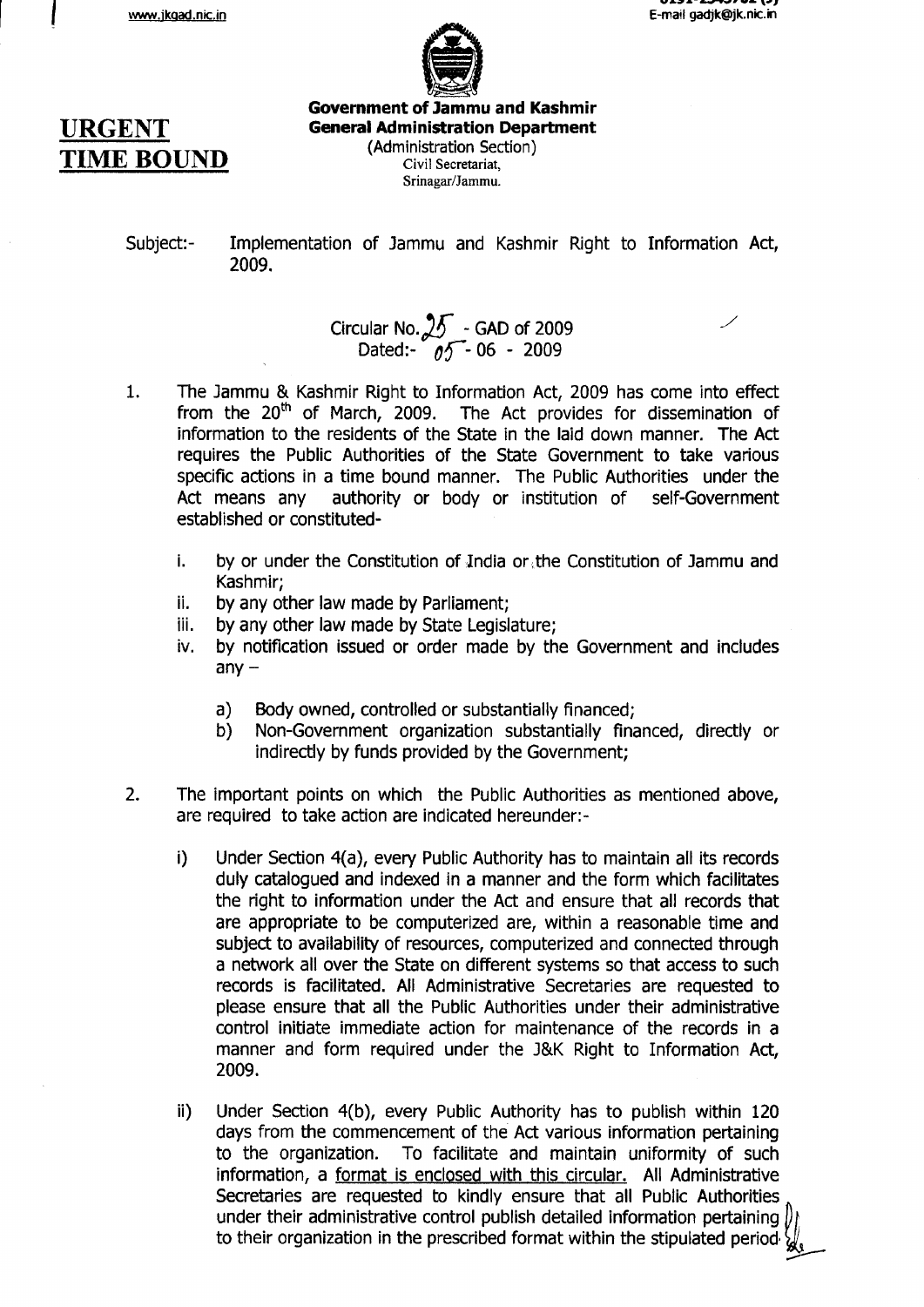

# **URGENT TIME BOUND**

Government of Jammu and Kashmir **General Administration Department** (Administration Section) Civil Secretariat,

Srinagar/Jammu.

Implementation of Jammu and Kashmir Right to Information Act, 2009. Subject:-

#### Circular No.  $25$  - GAD of 2009  $\overline{\phantom{0}}$ Dated:-  $\frac{1}{\ell}$  $\frac{20}{05}$  - GAD or 2009

- 1. The lammu & Kashmir Right to Information Act, 2009 has come into effect from the  $20<sup>th</sup>$  of March, 2009. The Act provides for dissemination of information to the residents of the State in the laid down manner. The Act requires the Public Authorities of the State Government to take various specific actions in a time bound manner. The Public Authorities under the Act means any authority or body or institution of self-Government established or constituted
	- i. by or under the Constitution of Jndia or,the Constitution of lammu and Kashmir;
	- ii. by any other law made by Parliament;
	- iii. by any other law made by State Legislature;
	- iv, by notification issued or order made by the Government and includes  $any$ 
		- a) Body owned, controlled or substantially financed;
		- b) Non-Government organization substantially financed, directly or indirectly by funds provided by the Government;
- The important points on which the Public Authorities as mentioned above, are required to take action are indicated hereunder:- 2.
	- i) Under Section 4(a), every Public Authority has to maintain all its records duly catalogued and indexed in a manner and the form which facilitates the right to information under the Act and ensure that all records that are appropriate to be computerized are, within a reasonable time and subject to availability of resources, computerized and connected through a network all over the State on different systems so that access to such records is facilitated. All Administrative Secretaries are requested to please ensure that all the Public Authorities under their administrative control initiate immediate action for maintenance of the records in a manner and form required under the J&K Right to Information Act, 2009.
	- ii) Under Section 4(b), every Public Authority has to publish within 120 days from the commencement of the Act various information pertaining to the organization. To facilitate and maintain uniformity of such information, a format is enclosed with this circular. All Administrative Secretaries are requested to kindly ensure that all Public Authorities under their administrative control publish detailed information pertaining to their organization in the prescribed format within the stipulated period  $\bigvee$  $\not\!\!D_l$ w-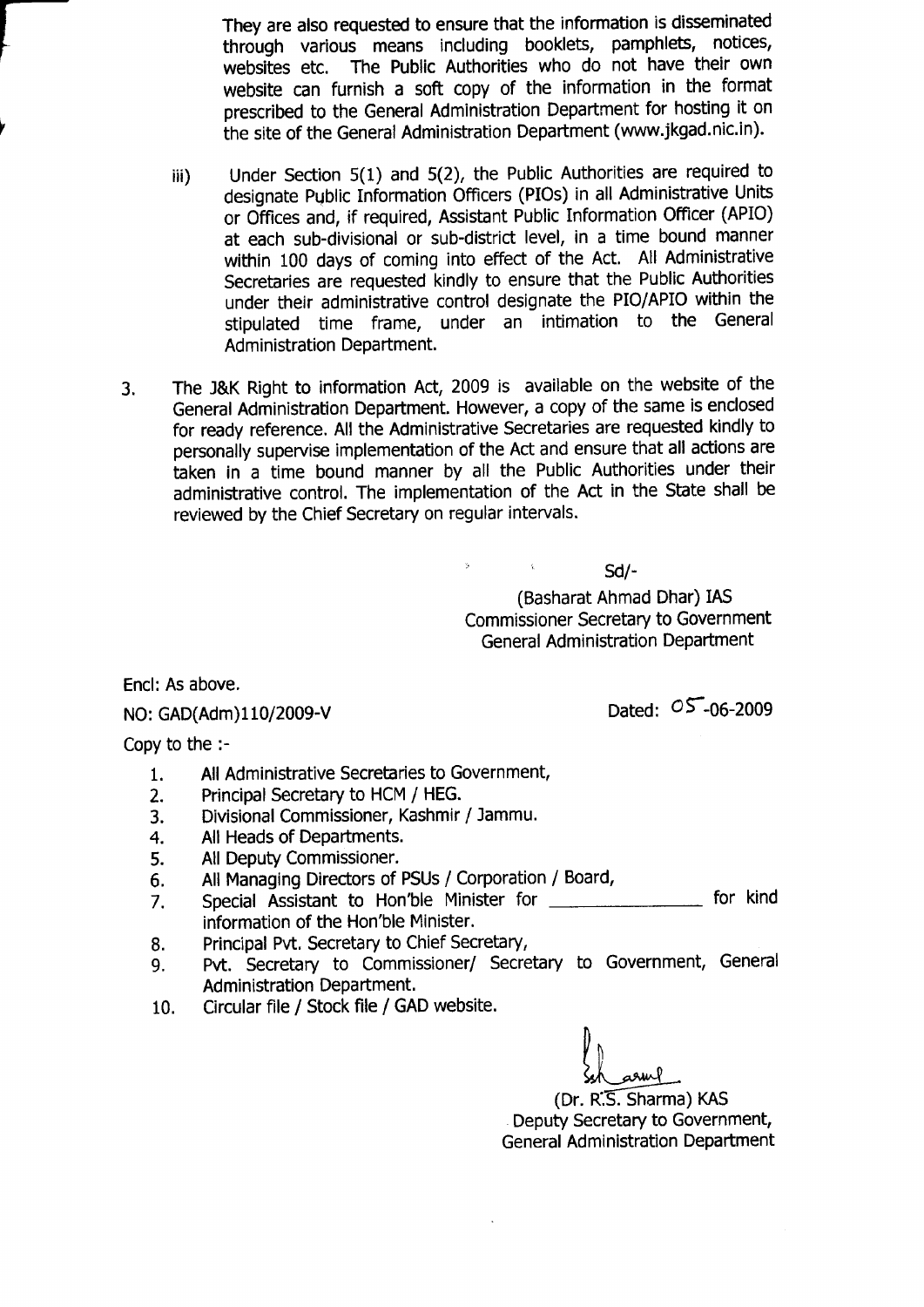They are also requested to ensure that the information is disseminated through various means including booklets, pamphlets, notices, websites etc. The Public Authorities who do not have their own website can furnish a soft copy of the information in the format prescribed to the General Administration Department for hosting it on the site of the General Administration Department (www.jkgad.nic.in).

- iii) Under Section 5(1) and 5(2), the Public Authorities are required to designate Public Information Officers (PIOs) in all Administrative Units or Offices and, if required, Assistant Public Information Officer (APIO) at each sub-divisional or sub-district level, in a time bound manner within 100 days of coming into effect of the Act. All Administrative Secretaries are requested kindly to ensure that the Public Authorities under their administrative control designate the PIO/APIO within the stipulated time frame, under an intimation to the General Administration Department.
- The l&K Right to information Act, 2009 is available on the website of the  $3.$ General Administration Department. However, a copy of the same is enclosed for ready reference. All the Administrative Secretaries are requested kindly to personally supervise implementation of the Act and ensure that all actions are taken in a time bound manner by all the Public Authorities under their administrative control. The implementation of the Act in the State shall be reviewed by the Chief Secretary on regular intervals.

 $\mathsf{S}$ d/-

(Basharat Ahmad Dhar) IAS Commissioner Secretary to Government General Administration Department

Encl: As above,

NO: GAD(Adm)110/2009-V

Dated:  $05 - 06 - 2009$ 

Copy to the :-

- All Administrative Secretaries to Government, 1.
- Principal Secretary to HCM / HEG. 2.
- Divisional Commissioner, Kashmir / lammu. 3.
- All Heads of Departments. 4.
- All Deputy Commissioner. 5.
- All Managing Directors of PSUs / Corporation / Board, 6.
- Special Assistant to Hon'ble Minister for information of the Hon'ble Minister. 7. for kind
- Principal Pvt, Secretary to Chief Secretary, 8.
- Pvt. Secretary to Commissioner/ Secretary to Government, General Administration Department. 9.
- Circular file / Stock file / GAD website. 10.

l|  $\langle \ \rangle$  $sh$  arm  $l$ 

(or. n.5-. Sharma) KAS Deputy Secretary to Government, General Administration Department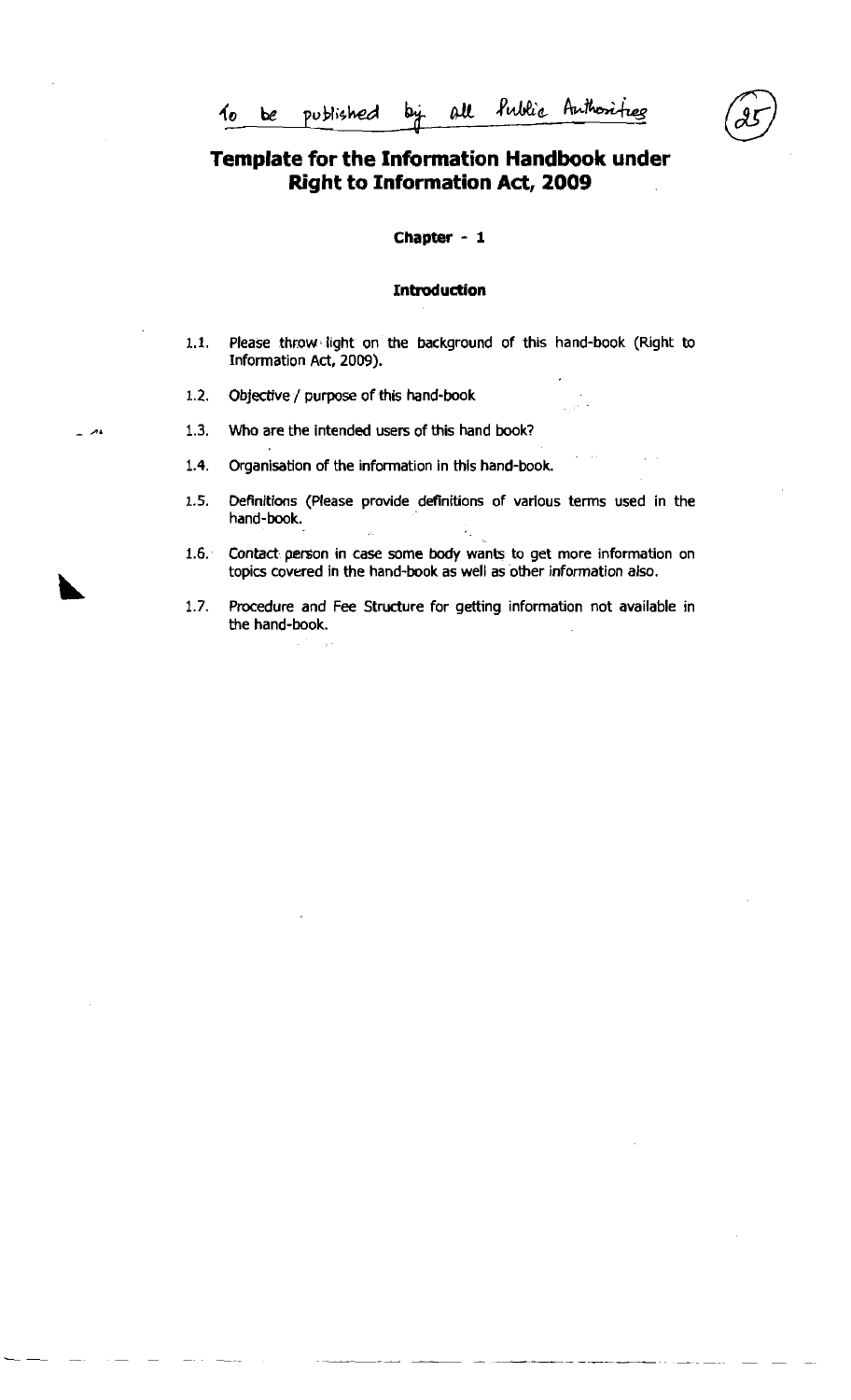# **Template for the Information Handbook under Right to Information Act, 2009**

**Chapter** - **1** 

#### **Introduction**

- 1.1. Please throw light on the background of this hand-book (Right to Information Act, 2009).
- **1.2.** Objective / purpose of this hand-book
- **A. 1.3.** Who are the intended users of this hand book?
	- **1.4.** Organisation of the information in this hand-book.
	- **1.5.** Definitions (Please provide definitions of various terms used in the hand-book. ł,
	- **1.6.** Contact person in case some body wants to get more information on topics covered in the hand-book as well as other information also.
	- **1.7.** Procedure and Fee Structure for getting information not available in the hand-book.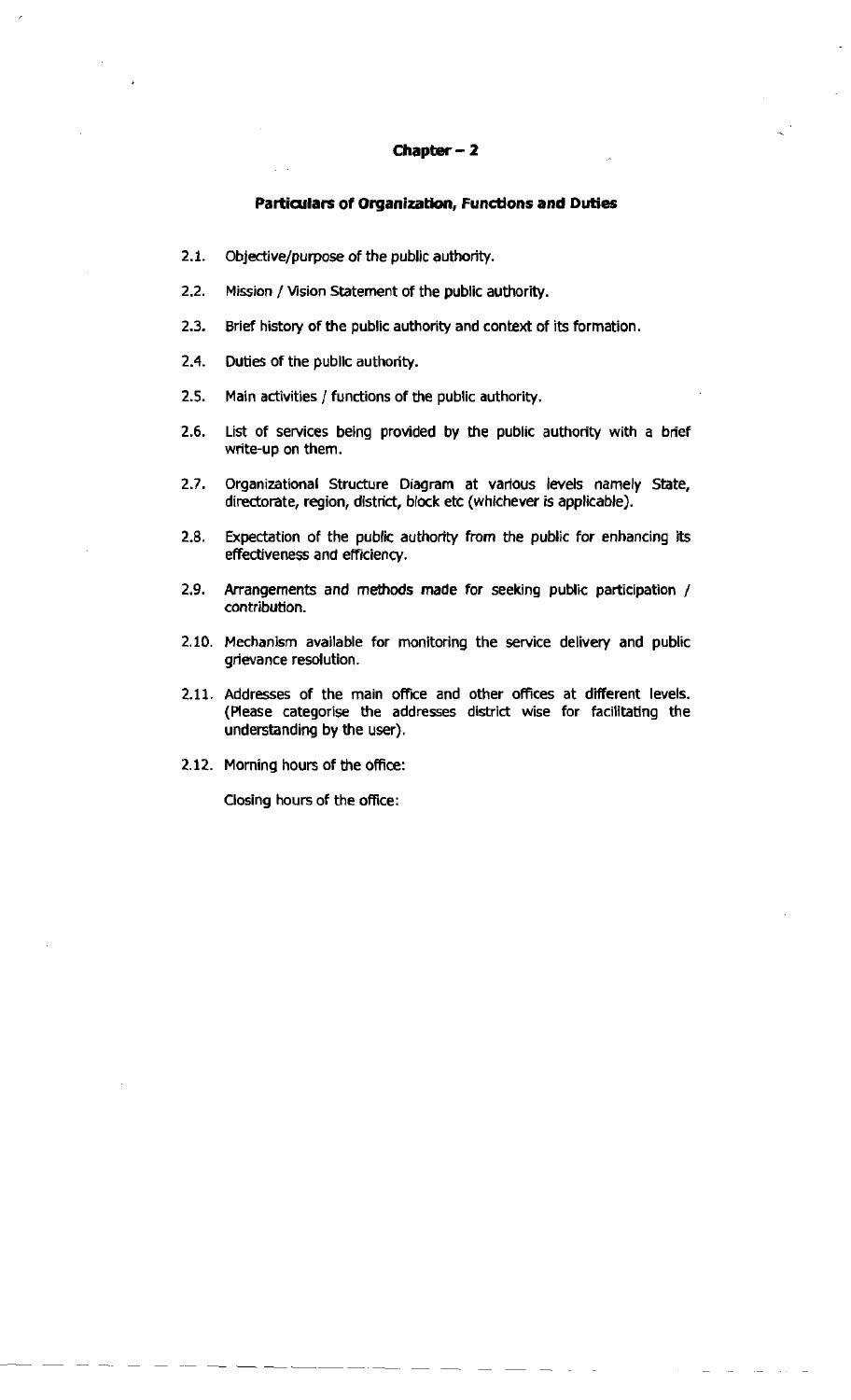#### **Chapter** - **<sup>2</sup>**

#### **Partialars of Organization, Functlons and Duties**

- **2.1.** Objective/purpose of the public authority.
- 2.2. Mission / Vision Statement of the public authority.
- **2.3.** Brief history of the public authority and context of its formation.
- **2.4.** Duties of the publlc authority.
- 2.5. Main activities / functions of the public authority.
- **2.6.** List of services being provided by the public authority with a brief write-up on them.
- 2.7. Organizational Structure Diagram at various levels namely State, directorate, region, district, block etc (whichever **is** applicable).
- **2.8.** Expectation of the public authority from the public for enhancing its effectiveness and efficiency.
- **2.9.** Arrangements and methods made for seeking public participation / contribution.
- 2.10. Mechanism available for monitoring the service delivery and public grievance resolution.
- 2.11. Addresses of the main office and other offices at different levels. (Aease categorise the addresses district wise for facilitating the understanding by the user).
- 2.12. Morning hours of the office:

Closing hours of the office: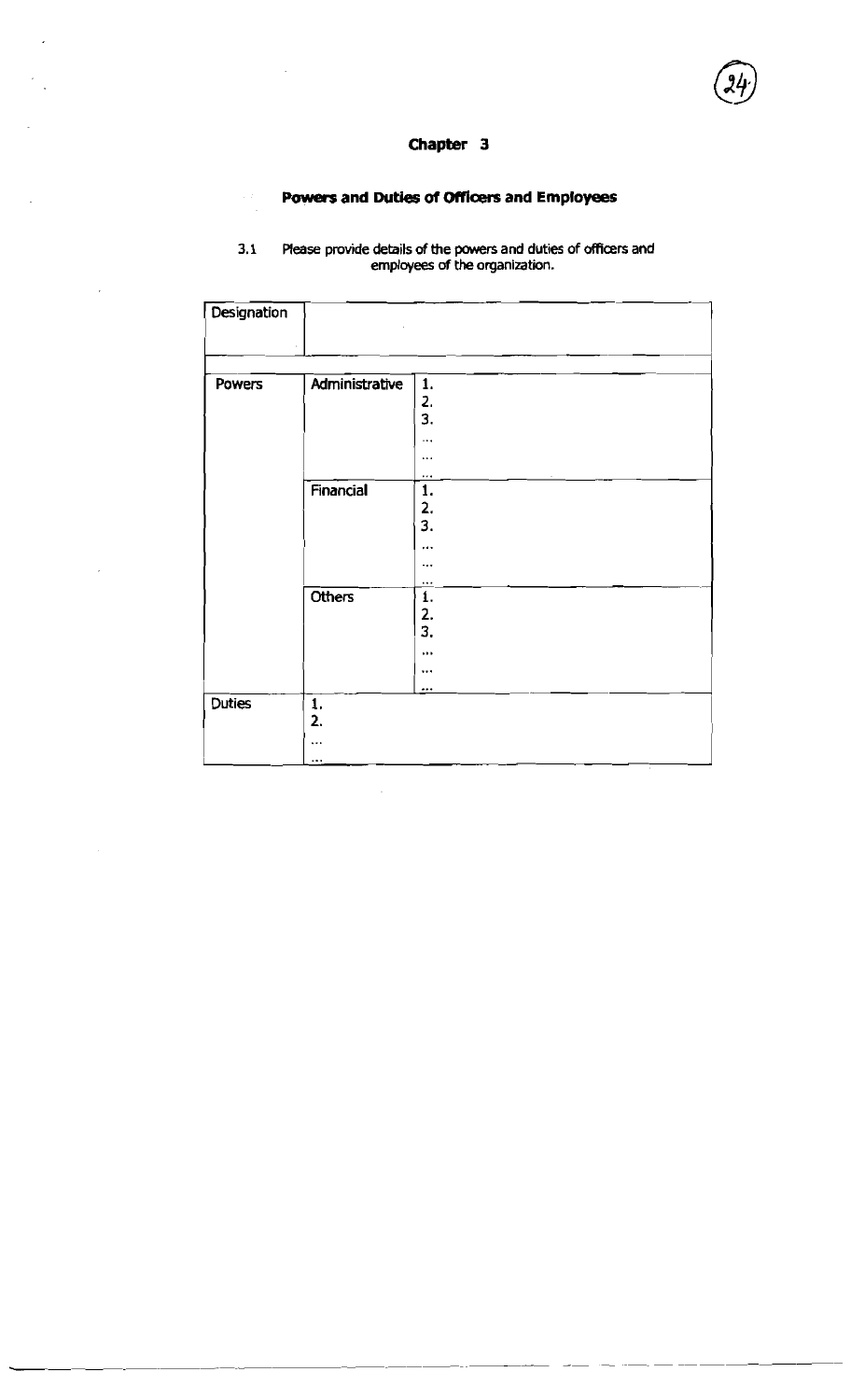$\overline{a}$ 

### **Powers and Duties of** Officers **and Employees**

|               |                                     | Chapter 3                                                                                         |
|---------------|-------------------------------------|---------------------------------------------------------------------------------------------------|
|               |                                     | Powers and Duties of Officers and Employees                                                       |
| 3.1           |                                     | Please provide details of the powers and duties of officers and<br>employees of the organization. |
| Designation   |                                     |                                                                                                   |
| <b>Powers</b> | Administrative                      | 1.<br>2.<br>3.<br>$\cdots$<br>$\cdots$                                                            |
|               | Financial                           | $\cdots$<br>1.<br>2.<br>3.<br><br>                                                                |
|               | Others                              | $\overline{\mathbf{1}}$ .<br>3.<br>                                                               |
| <b>Duties</b> | $\mathbf{1}$<br>2.<br>$\ddotsc$<br> |                                                                                                   |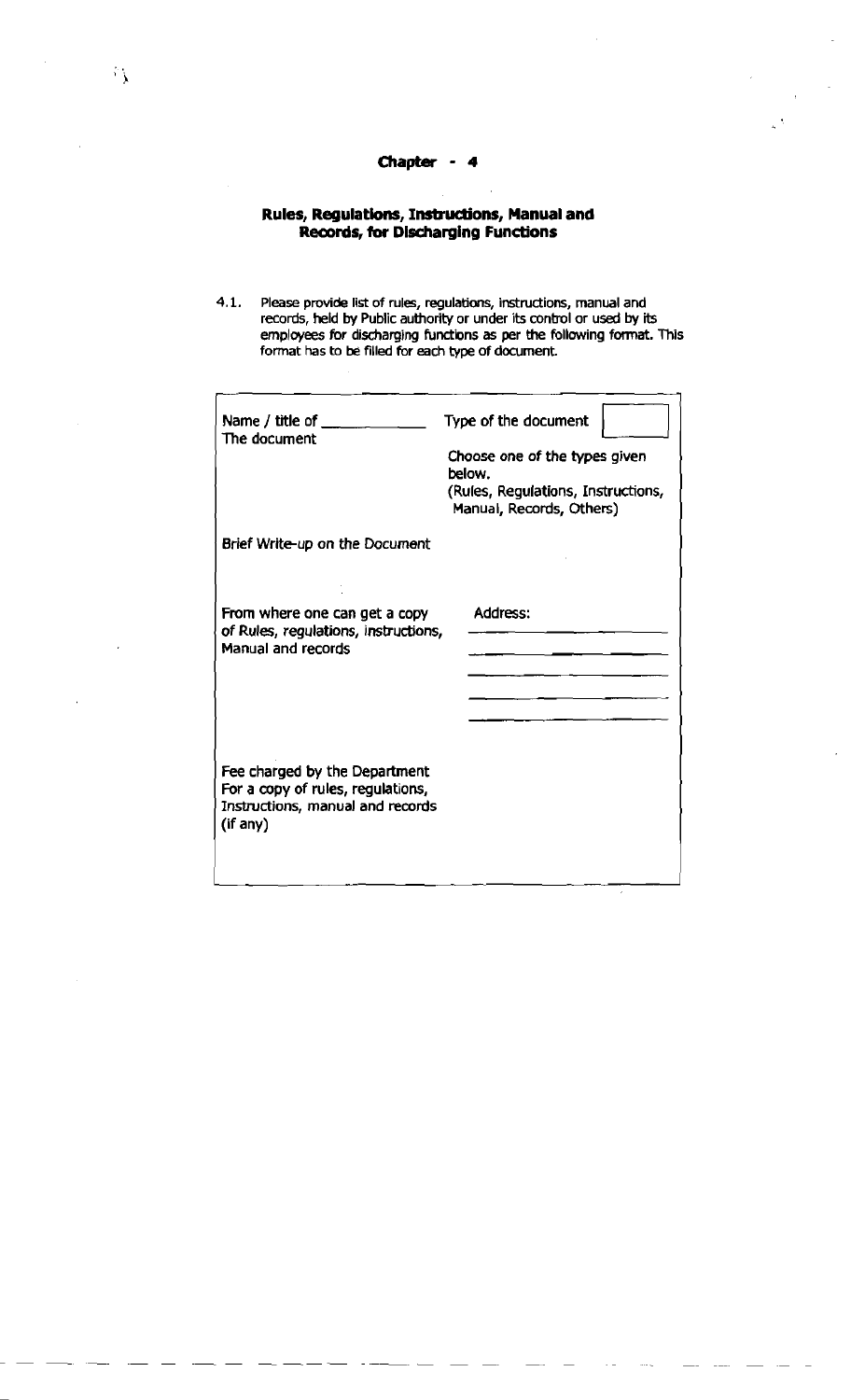#### **Chapter** - **4**

#### **Rules, Regulations, Instructions, Manual and Records, tor Discharging Functions**

**4.1.** Please provide list of rules, regulations, instructions, manual and records, held by Public authority or under its conbol or used by its employees for discharging functions as per the following format. This format has to be filled for each type of document.

| Name / title of $\_\_$                                                                                             | Type of the document                                                                                      |
|--------------------------------------------------------------------------------------------------------------------|-----------------------------------------------------------------------------------------------------------|
| The document                                                                                                       | Choose one of the types given<br>below.<br>(Rules, Regulations, Instructions,<br>Manual, Records, Others) |
| Brief Write-up on the Document                                                                                     |                                                                                                           |
| From where one can get a copy<br>of Rules, regulations, instructions,<br>Manual and records                        | Address:                                                                                                  |
| Fee charged by the Department<br>For a copy of rules, regulations,<br>Instructions, manual and records<br>(if any) |                                                                                                           |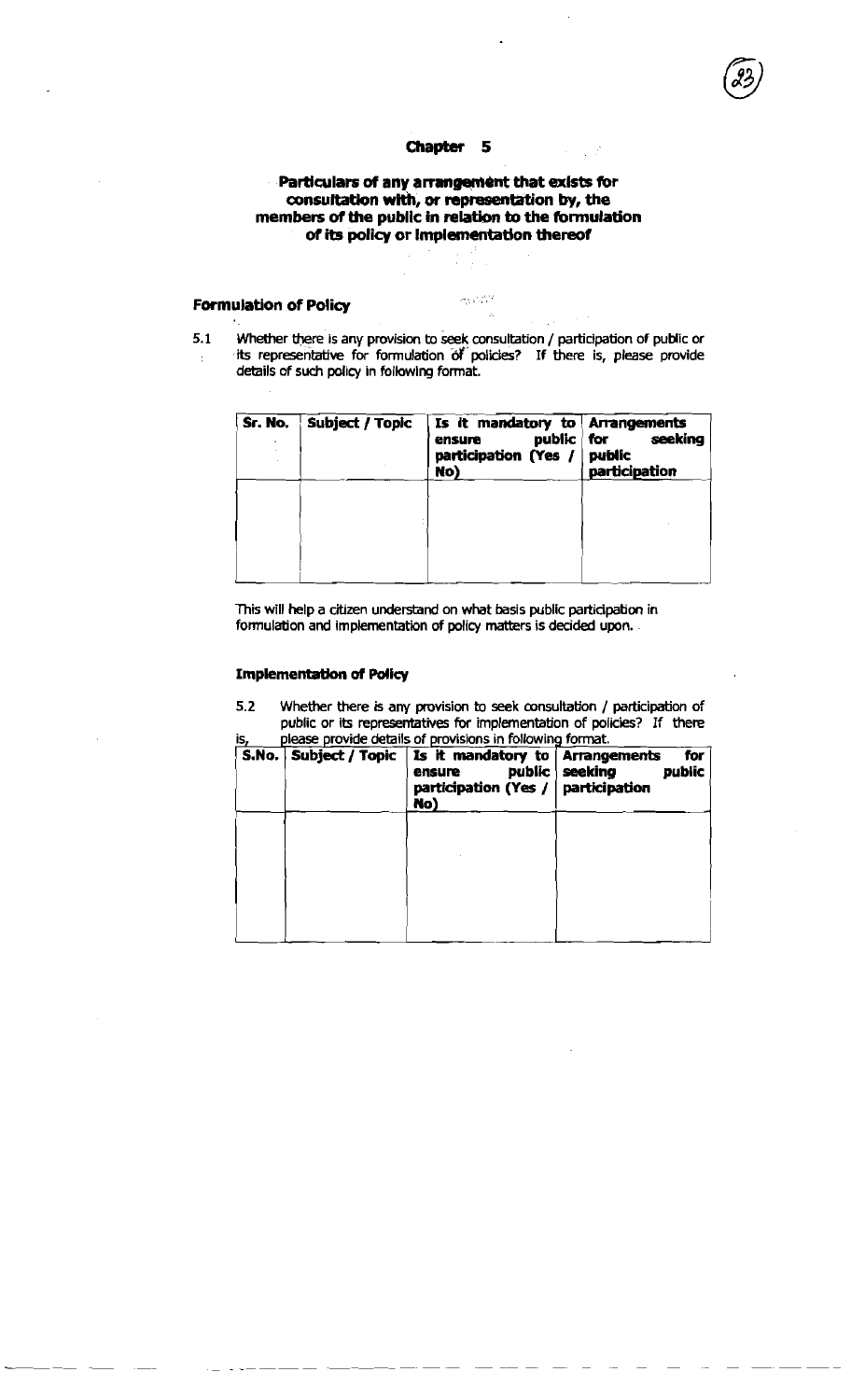#### **Particulars of any arrangement that exists for consultation wlth, or representation by, the members of the public in relation to the formulation**  of its policy or implementation thereof

#### **Famulation of Policy**

ages in 12

5.1 Whether there is any provision to seek consultation / participation of public or its representabve for formulation **dY** policies7 If there is, please provide  $\overline{t}$ details of such policy in following format.

| Sr. No. | <b>Subject / Topic</b> | Is it mandatory to   Arrangements<br>public   for<br>ensure<br>participation (Yes /   public<br>No) | seeking<br>participation |
|---------|------------------------|-----------------------------------------------------------------------------------------------------|--------------------------|
|         |                        |                                                                                                     |                          |
|         |                        |                                                                                                     |                          |

This will help a citizen understand on what basis public participation in formulation and implementation of policy matters is decided upon.

#### **Implementation of Policy**

**5.2** Whether there is **any** pmvision to **seek** consultation / participation of public or its representatives for implementation of policies? If there is, please provide details of provisions in following format.

| S.No. Subject / Topic | Is it mandatory to Arrangements<br>public<br>ensure<br>participation (Yes /<br>No) | for<br>seeking<br>public<br>participation |
|-----------------------|------------------------------------------------------------------------------------|-------------------------------------------|
|                       |                                                                                    |                                           |
|                       |                                                                                    |                                           |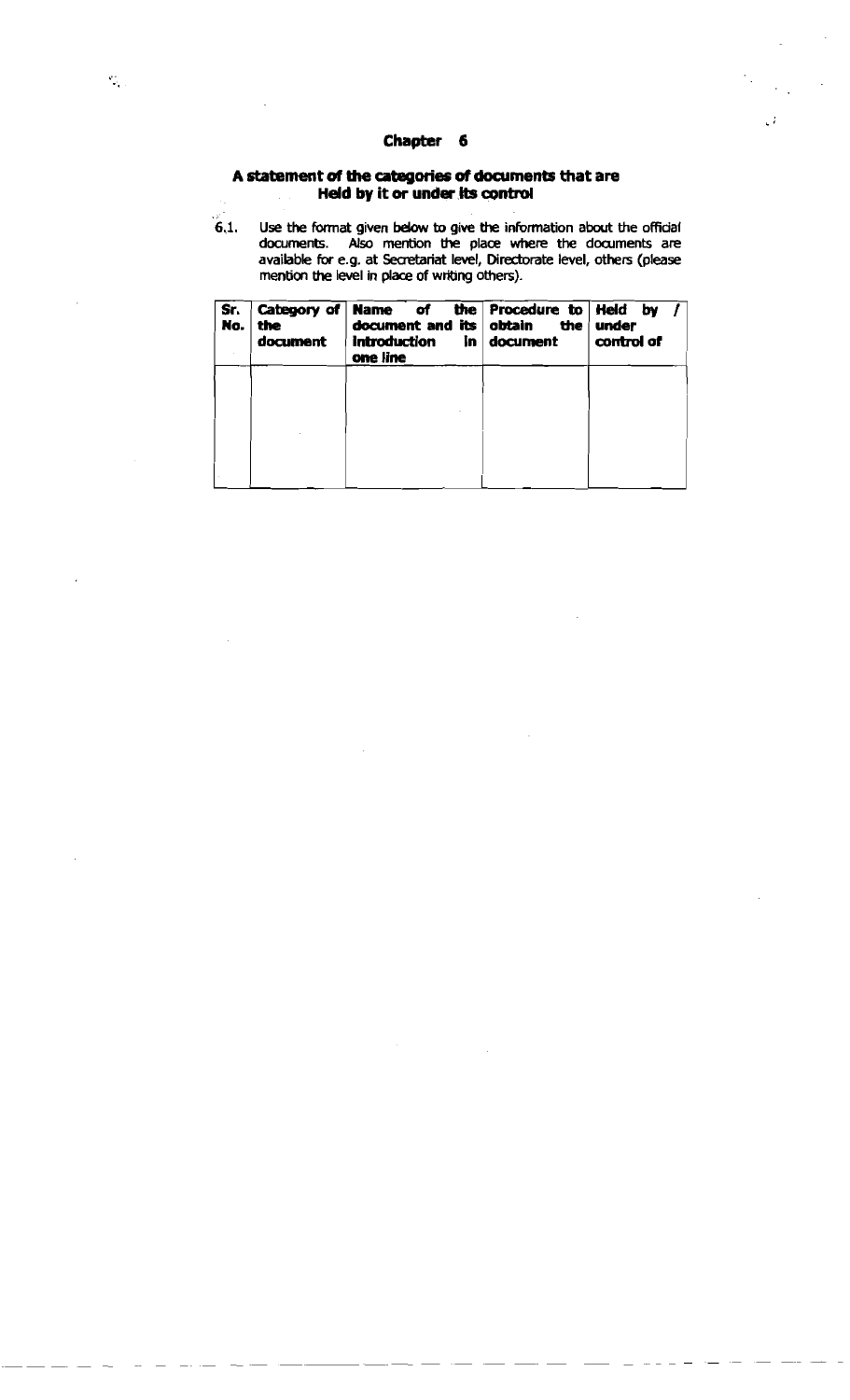#### **A statement of the utegories of documents that are Held by it or under its control**

**6.1. Use the format given** bebw **to glve the inbrmation about the official documents. Also mention the place where the dwrnents are available for e.g. at Secretariat level, Diredorate level, others (please mention the level in place of wribng others).** 

έî.

| Sr.<br>No. | Category of<br>the<br>document | <b>Name</b> of<br>document and its<br>introduction<br>In.<br>one line | the Procedure to Held by<br>obtain<br>the<br>document | under<br>control of |
|------------|--------------------------------|-----------------------------------------------------------------------|-------------------------------------------------------|---------------------|
|            |                                |                                                                       |                                                       |                     |
|            |                                |                                                                       |                                                       |                     |
|            |                                |                                                                       |                                                       |                     |
|            |                                |                                                                       |                                                       |                     |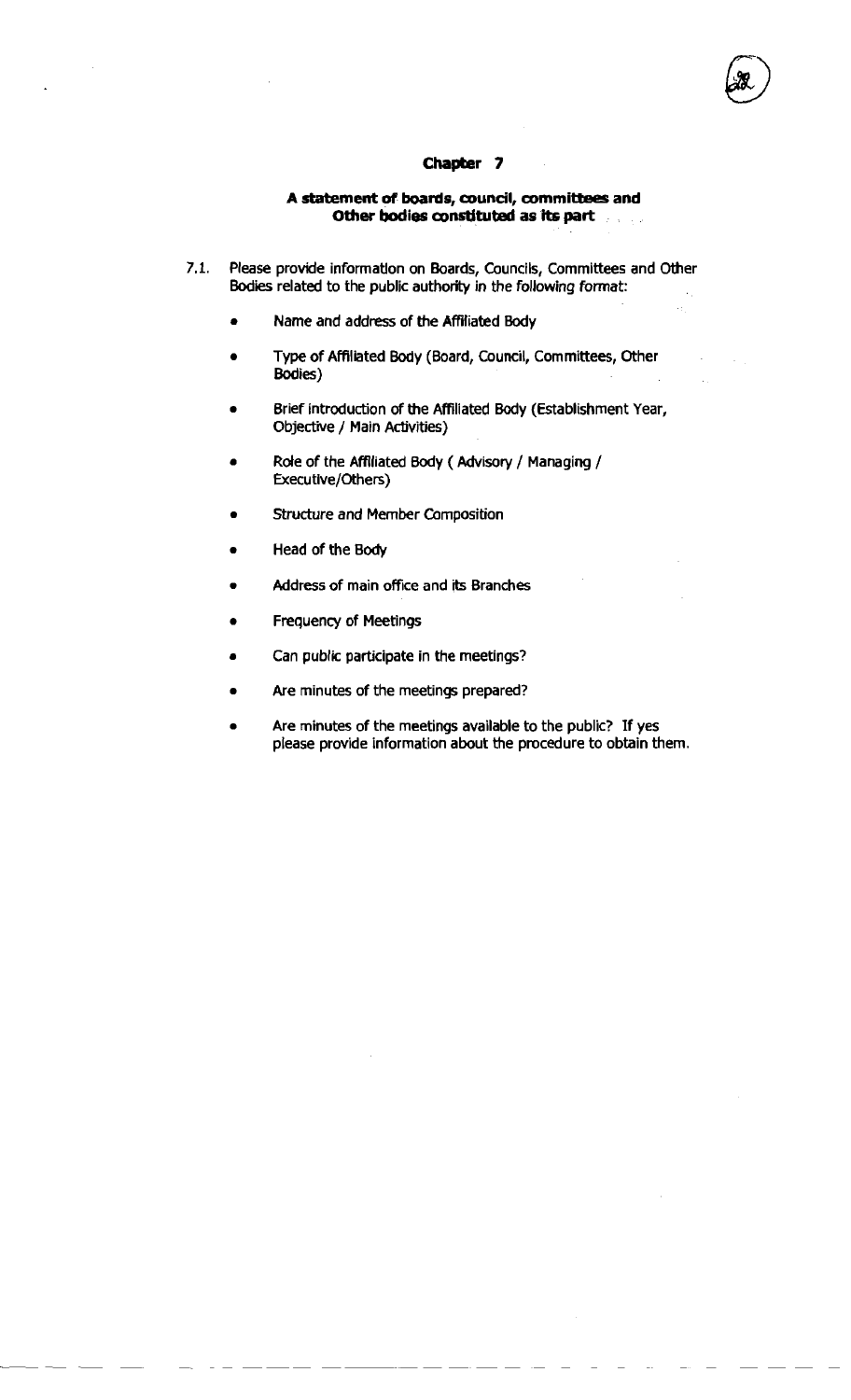#### **A statement of** boards, council, committees **and**  Other bodies constituted as its part

- **7.1.** Please provide inforrnatlon on Boards, Councils, Committees and Other **Bodies** related to the public authority in the following format:
	- Name and address of the Affiliated Body  $\bullet$
	- **a** Type of Affiliated Body (Board, Council, Committees, Other Bodies)
	- **a** Brief introduction of the Affiliated Body (Establishment Year, Objective / Main Activities)
	- Role of the Affiliated Body (Advisory / Managing / Executive/Cthers)
	- **a** Structure and Member Composition
	- **a** Head of the Body
	- Address of main office and its Branches
	- **a** Frequency of Meetings
	- Can public participate in the meetings?
	- Are minutes of the meetings prepared?
	- Are minutes of the meetings available to the public? If yes please provide information about the procedure to obtain them.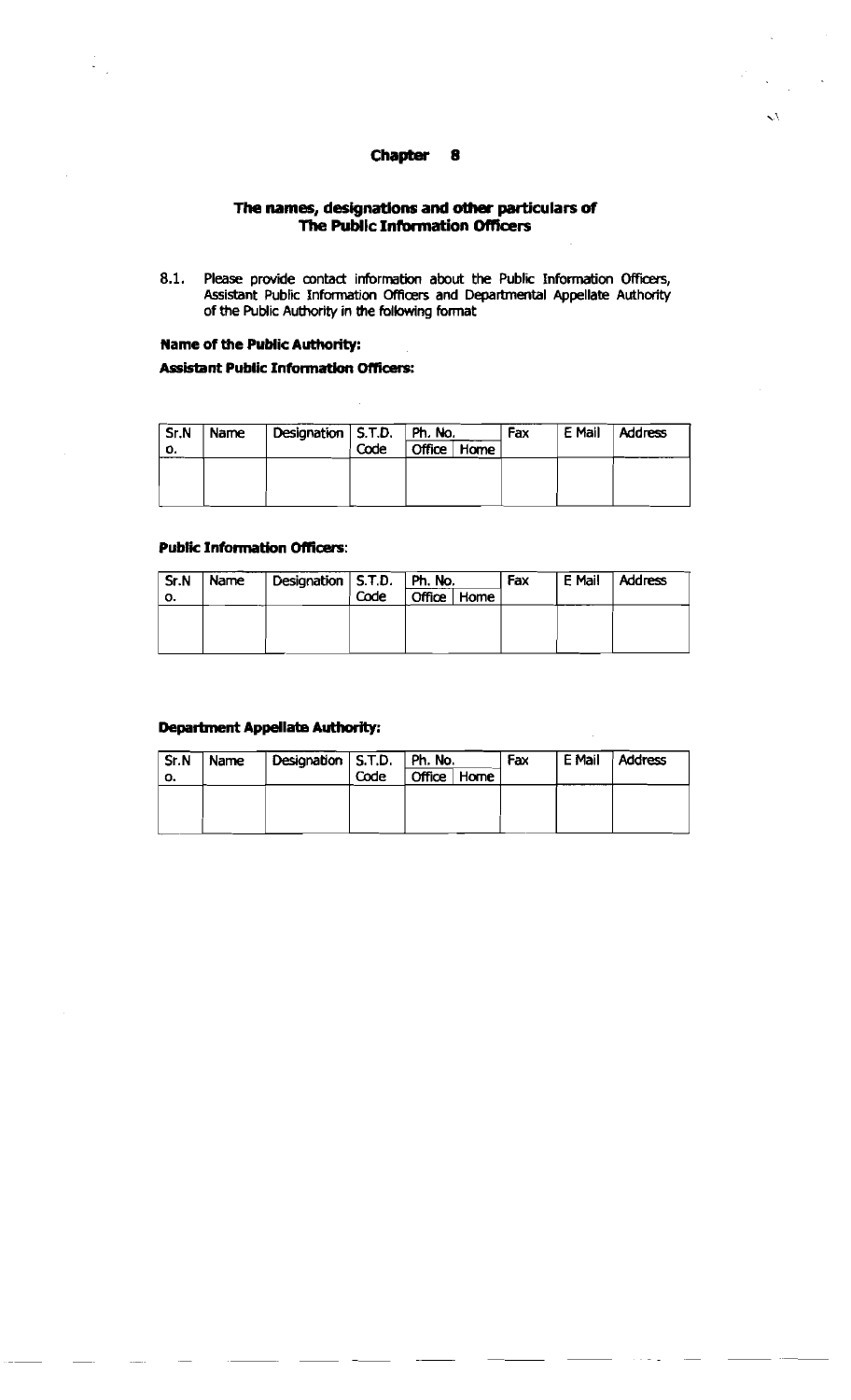$\mathcal{L}$ 

#### **The names, designations and other particulars of The Public Information Officers**

8.1. Please provide contact information about the Public Information Officers, Assistant Public Information Officers and Departmental Appellate Authority of the Public Authority in the following format

#### **Name of the Public Authority:**

#### **Assistant Public Information Officers:**

| Sr.N | Name | Designation   S.T.D.   Ph. No. |      |               | Fax | E Mail | <b>Address</b> |
|------|------|--------------------------------|------|---------------|-----|--------|----------------|
| о.   |      |                                | Code | Office   Home |     |        |                |
|      |      |                                |      |               |     |        |                |
|      |      |                                |      |               |     |        |                |
|      |      |                                |      |               |     |        |                |

#### **Public Information Oficerr:**

| Sr.N | Name | Designation $ $ S.T.D. $ $ Ph. No. |      |  |             | Fax | E Mail | Address |
|------|------|------------------------------------|------|--|-------------|-----|--------|---------|
| о.   |      |                                    | Code |  | Office Home |     |        |         |
|      |      |                                    |      |  |             |     |        |         |
|      |      |                                    |      |  |             |     |        |         |
|      |      |                                    |      |  |             |     |        |         |

#### **Department Appellate Authority:**

| Sr.N | Name | Designation   S.T.D.   Ph. No. |      |        |      | Fax | E Mail | Address |
|------|------|--------------------------------|------|--------|------|-----|--------|---------|
| о.   |      |                                | Code | Office | Home |     |        |         |
|      |      |                                |      |        |      |     |        |         |
|      |      |                                |      |        |      |     |        |         |
|      |      |                                |      |        |      |     |        |         |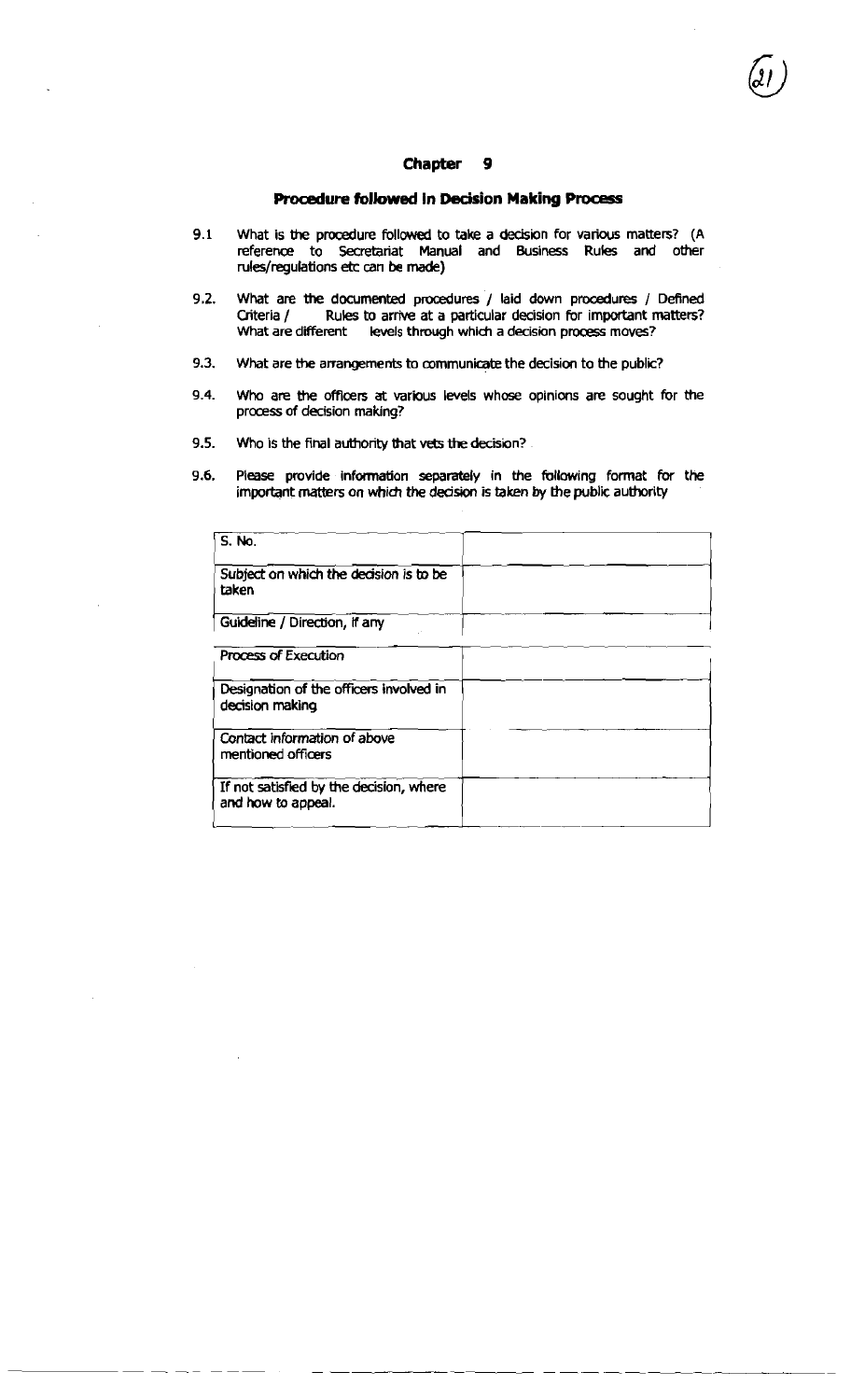#### **RoQdure followed in Decision Making Process**

- **9.1** What is **the** procedure follcrwed to take a **decision** for various matters? (A reference to Secretariat Manual and Business Rules and other rulesfregulations **etc** can be **made)**
- **9.2.** What are **the** documented procedures / laid down procedures / Defined Criteria / Rules to arrive at a particular decision for important matters?<br>What are different levels through which a decision process moves? levels through which a decision process moves?
- 9.3. What are the arrangements to communicate the decision to the public?
- **9.4.** Who are the officers at various levels whose opinions are sought for the process of decision making?
- **9.5.** Who is the final authority that vets the decision?
- 9.6. Please provide infamation separately in the following format for the

| Criteria /<br>What are different levels through which a decision process moves? | What are the documented procedures / laid down procedures / Defined<br>Rules to arrive at a particular decision for important matters? |
|---------------------------------------------------------------------------------|----------------------------------------------------------------------------------------------------------------------------------------|
| I,<br>What are the arrangements to communicate the decision to the public?      |                                                                                                                                        |
| L,<br>process of decision making?                                               | Who are the officers at various levels whose opinions are sought for the                                                               |
| i,<br>Who is the final authority that vets the decision?                        |                                                                                                                                        |
| I,<br>important matters on which the decision is taken by the public authority  | Please provide information separately in the following format for the                                                                  |
| $S.$ No.                                                                        |                                                                                                                                        |
| Subject on which the decision is to be<br>taken                                 |                                                                                                                                        |
| Guideline / Direction, if any                                                   |                                                                                                                                        |
| <b>Process of Execution</b>                                                     |                                                                                                                                        |
| Designation of the officers involved in<br>decision making                      |                                                                                                                                        |
| Contact information of above<br>mentioned officers                              |                                                                                                                                        |
| If not satisfied by the decision, where<br>and how to appeal.                   |                                                                                                                                        |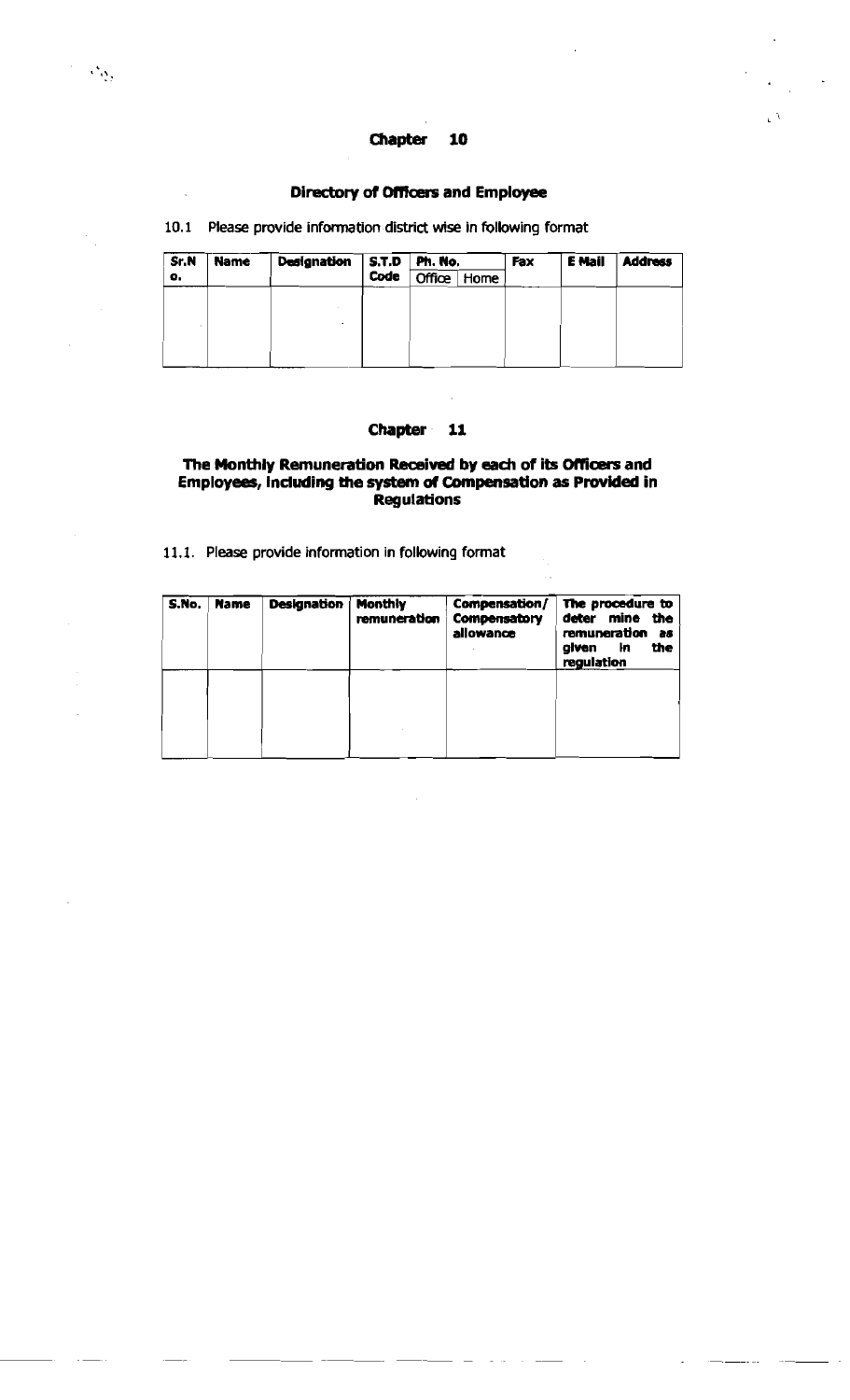#### Directory **d Omcers and Employee**

10.1 Please provide information district wise in following format

 $\mathcal{F}_{\mathcal{W}}$ 

| Sr.N | <b>Name</b> | <b>Designation</b> | Code | $\vert$ S.T.D $\vert$ Ph. No. |             | Fax | E Mail | <b>Address</b> |
|------|-------------|--------------------|------|-------------------------------|-------------|-----|--------|----------------|
| о.   |             |                    |      |                               | Office Home |     |        |                |
|      |             |                    |      |                               |             |     |        |                |
|      |             |                    |      |                               |             |     |        |                |
|      |             |                    |      |                               |             |     |        |                |
|      |             |                    |      |                               |             |     |        |                |
|      |             |                    |      |                               |             |     |        |                |

### **Chapter 11**

#### The Monthly Remuneration Received by each of its Officers and **Employees, lnduding the system of Compensation as Provided in ~egulations**

**11.1. Please provide information in following format** 

| S.No. | <b>Name</b> | <b>Designation</b> | <b>Monthly</b><br>remuneration | Compensation/<br>Compensatory<br>allowance | The procedure to<br>deter mine<br>the<br>remuneration<br>26<br>ŀn<br>the<br>given<br>regulation |
|-------|-------------|--------------------|--------------------------------|--------------------------------------------|-------------------------------------------------------------------------------------------------|
|       |             |                    |                                |                                            |                                                                                                 |
|       |             |                    |                                |                                            |                                                                                                 |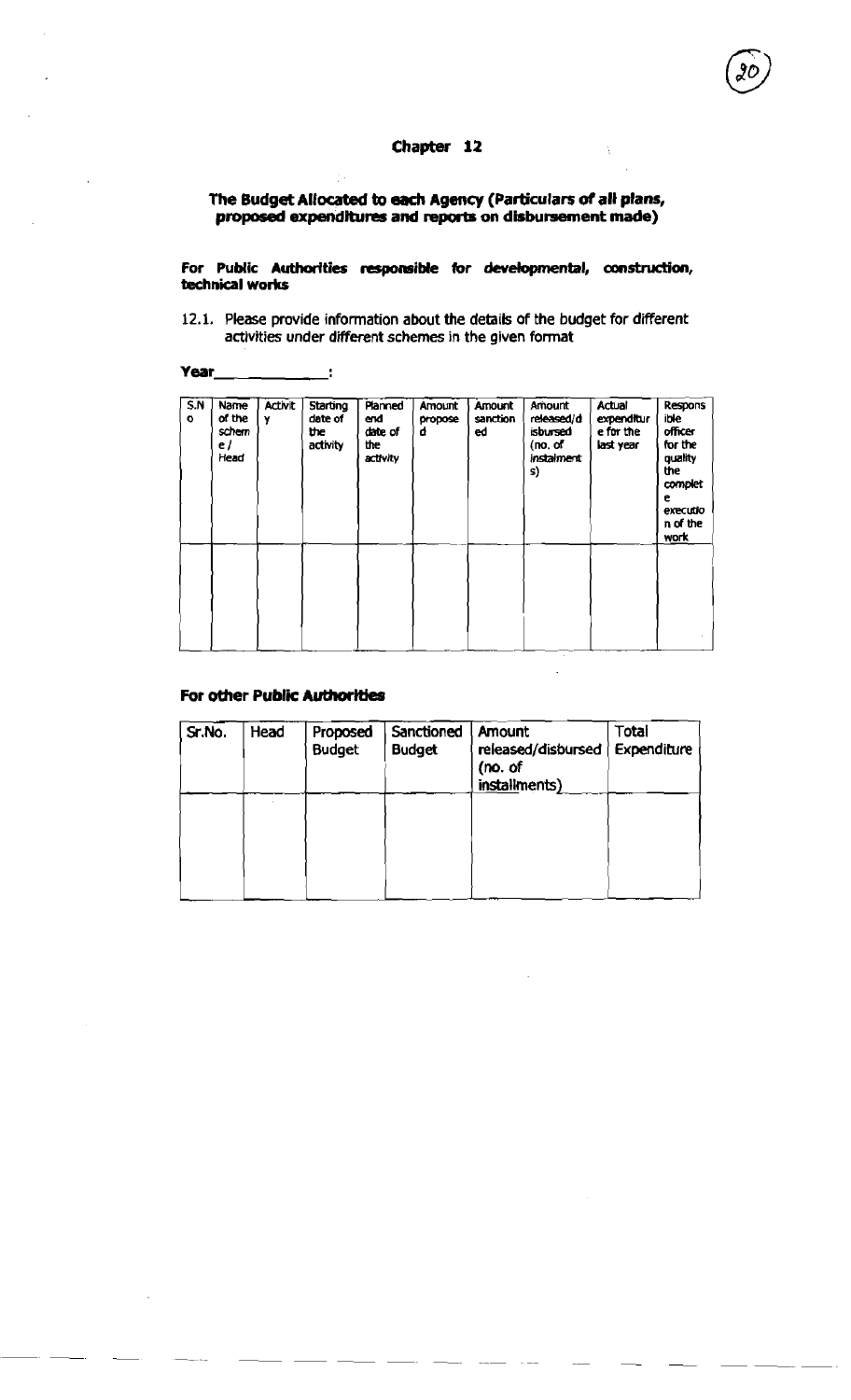#### **The Budget Allocated to each Agency (Particulars of all plans,**  proposed expenditures and reports on disbursement made)

For Public Authorities responsible for developmental, construction, **technical works** 

12.1. Please provide information about the details of the budget for different activities under different schemes in the given format

 $\mathbf{L}$ 

| 5N<br>$\circ$ | Name<br>of the<br>schem<br>e/<br>Head | <b>Activit</b><br>Y | <b>Starting</b><br>date of<br>the<br>activity | Planned<br>end<br>date of<br>the<br>activity | Amount<br>propose<br>d | Amount<br>sanction<br>ed | Amount<br>released/d<br>isbursed<br>(no, of)<br>instalment<br>s) | Actual<br>expenditur<br>e for the<br>last year | Respons<br>ible<br>officer<br>for the<br>quality<br><b>the</b><br>complet<br>e<br>executio<br>n of the<br><b>WOLK</b> |
|---------------|---------------------------------------|---------------------|-----------------------------------------------|----------------------------------------------|------------------------|--------------------------|------------------------------------------------------------------|------------------------------------------------|-----------------------------------------------------------------------------------------------------------------------|
|               |                                       |                     |                                               |                                              |                        |                          |                                                                  |                                                |                                                                                                                       |

#### **For other Public Authorities**

| Sr.No. | Head | Proposed<br><b>Budget</b> | Sanctioned<br><b>Budget</b> | Amount<br>released/disbursed<br>(no. of<br>installments) | <b>Total</b><br>Expenditure |  |
|--------|------|---------------------------|-----------------------------|----------------------------------------------------------|-----------------------------|--|
|        |      |                           |                             |                                                          |                             |  |
|        |      |                           |                             |                                                          |                             |  |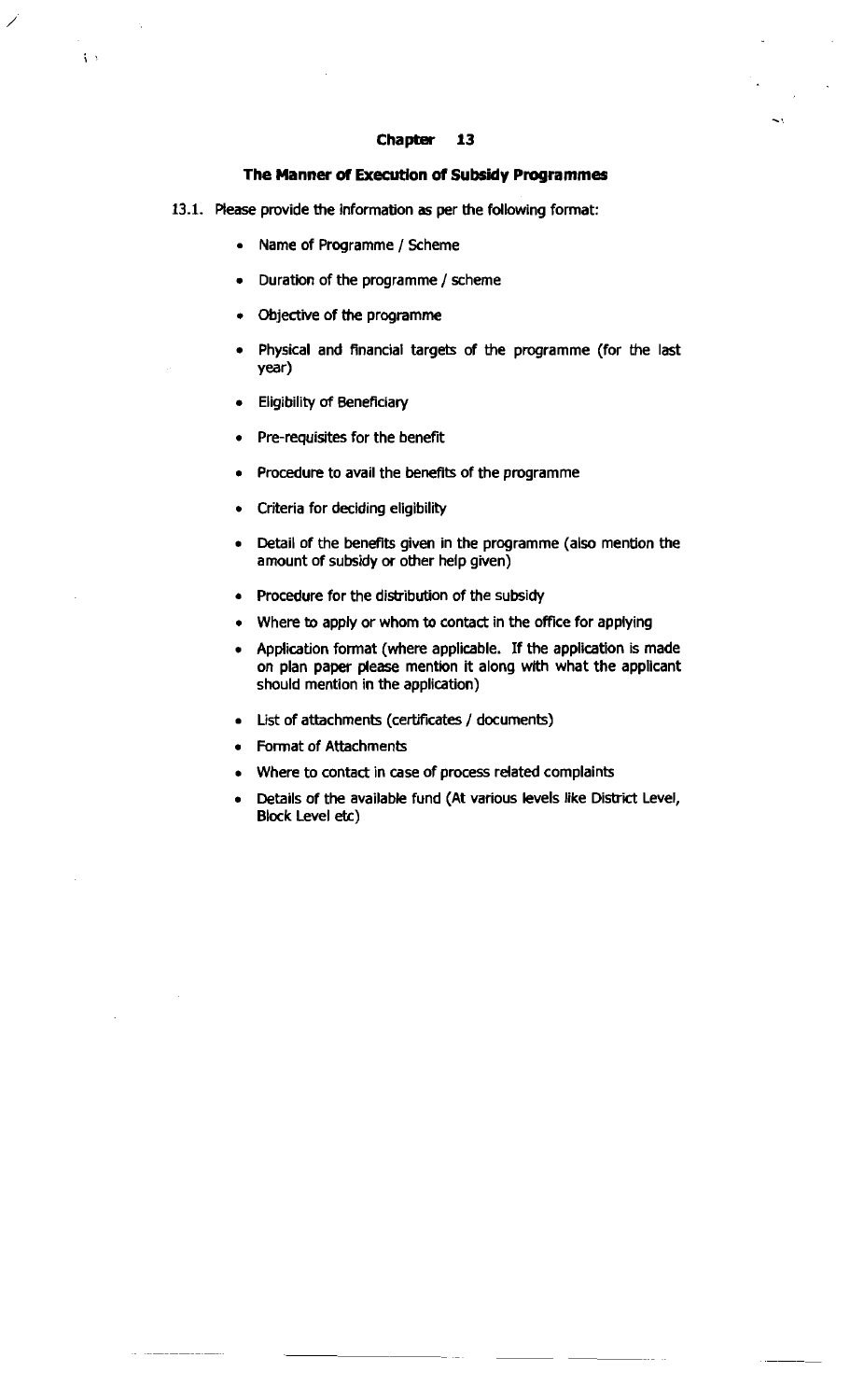#### **The Manner of Execution d Subsidy Programmes**

- 13.1. Please provide the information as per the following format:
	- Name of Programme / Scheme

 $\left\{ \right.$ 

- Duration of the programme / scheme
- Objedwe of **the** programme
- Physical and financial targets of the programme (for the last vear)
- Eligibility of Beneficiary  $\bullet$
- Pre-requisites for the benefit
- Procedure to avail the benefits of the programme
- Criteria for deciding eligibility
- Detail of the benefits given in the programme (also mention the amount of subsidy or other help given)
- Procedure for the distribution of the subsidy
- Where to apply or whom to contact in the office for applying
- Application format (where applicable. If the application is made on plan paper please mention it along with what the applicant should mention in the application)
- List of attachments (certificates / documents)
- Format of Attachments
- Where to contact in case of process related complaints
- Details of the available fund (At various levels like District Level, Block Level **etc)**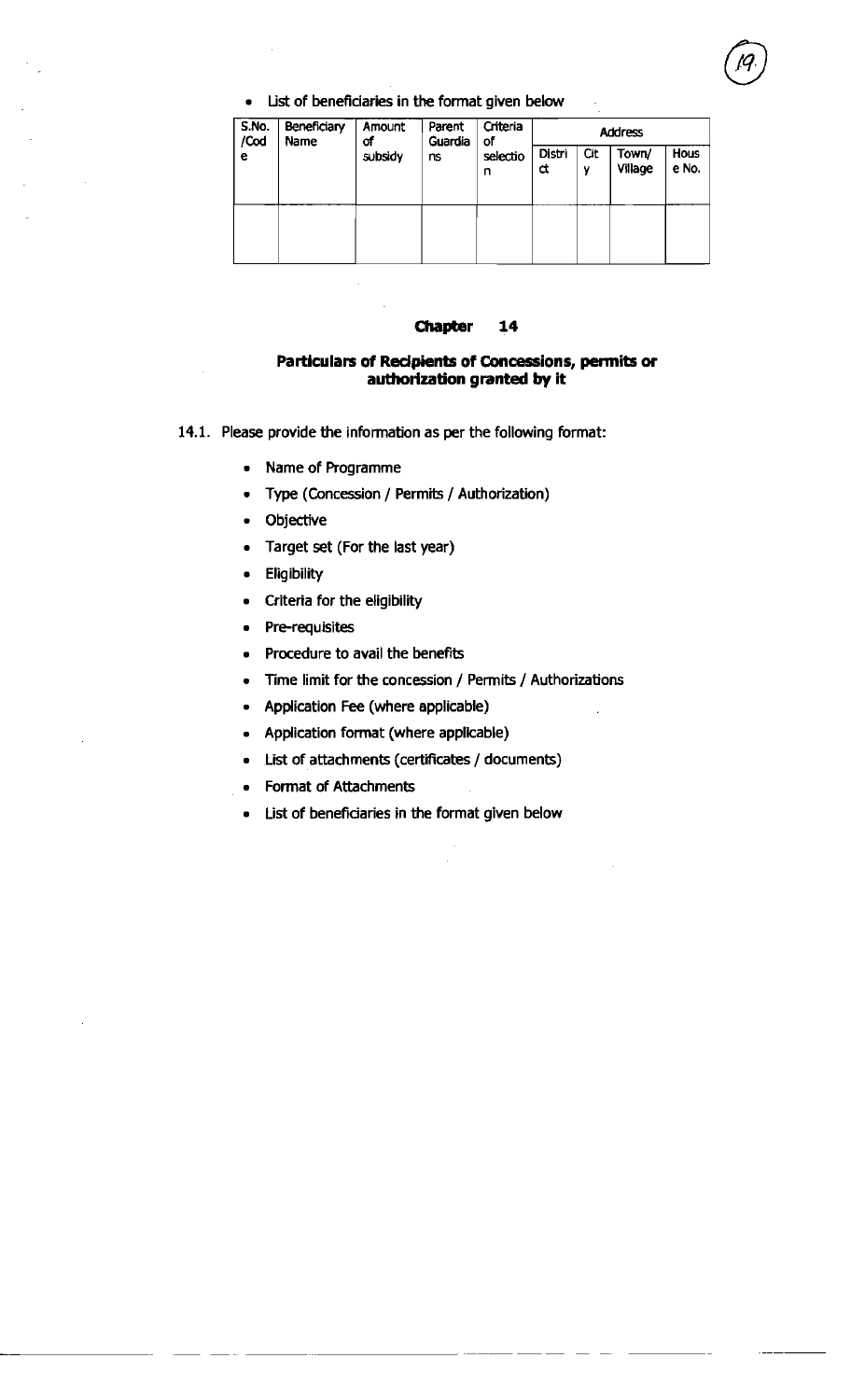List of beneficiaries in the format given below

| S.No.<br>/Cod<br>е | <b>Beneficiary</b><br>Name | Amount<br>of<br>subsidy | Parent<br>Guardia<br>ns | Criteria<br>οf<br>selectio<br>n | <b>Address</b>     |          |                  |               |
|--------------------|----------------------------|-------------------------|-------------------------|---------------------------------|--------------------|----------|------------------|---------------|
|                    |                            |                         |                         |                                 | <b>Distri</b><br>đ | Cit<br>٧ | Town/<br>Village | Hous<br>e No. |
|                    |                            |                         |                         |                                 |                    |          |                  |               |

#### **Chapter** 14

#### Particulars of **Redpients of Concessions, permits or authorization granted by it**

- 14.1. Please provide the information as per the following format:
	- Name of Programme
	- Type (Concession / Permits / Authorization)
	- Objective
	- Target set (For the last year)
	- **Eligibility**  $\bullet$
	- Criteria for the eligibility
	- Pre-requisites
	- Procedure to avail the benefits
	- Time limit for the concession / Permits / Authorizations
	- Application Fee (where applicable)
	- Application format (where applicable)
	- List of attachments (certificates / documents)
	- Format of Attachments
	- List of beneficiaries in the format given below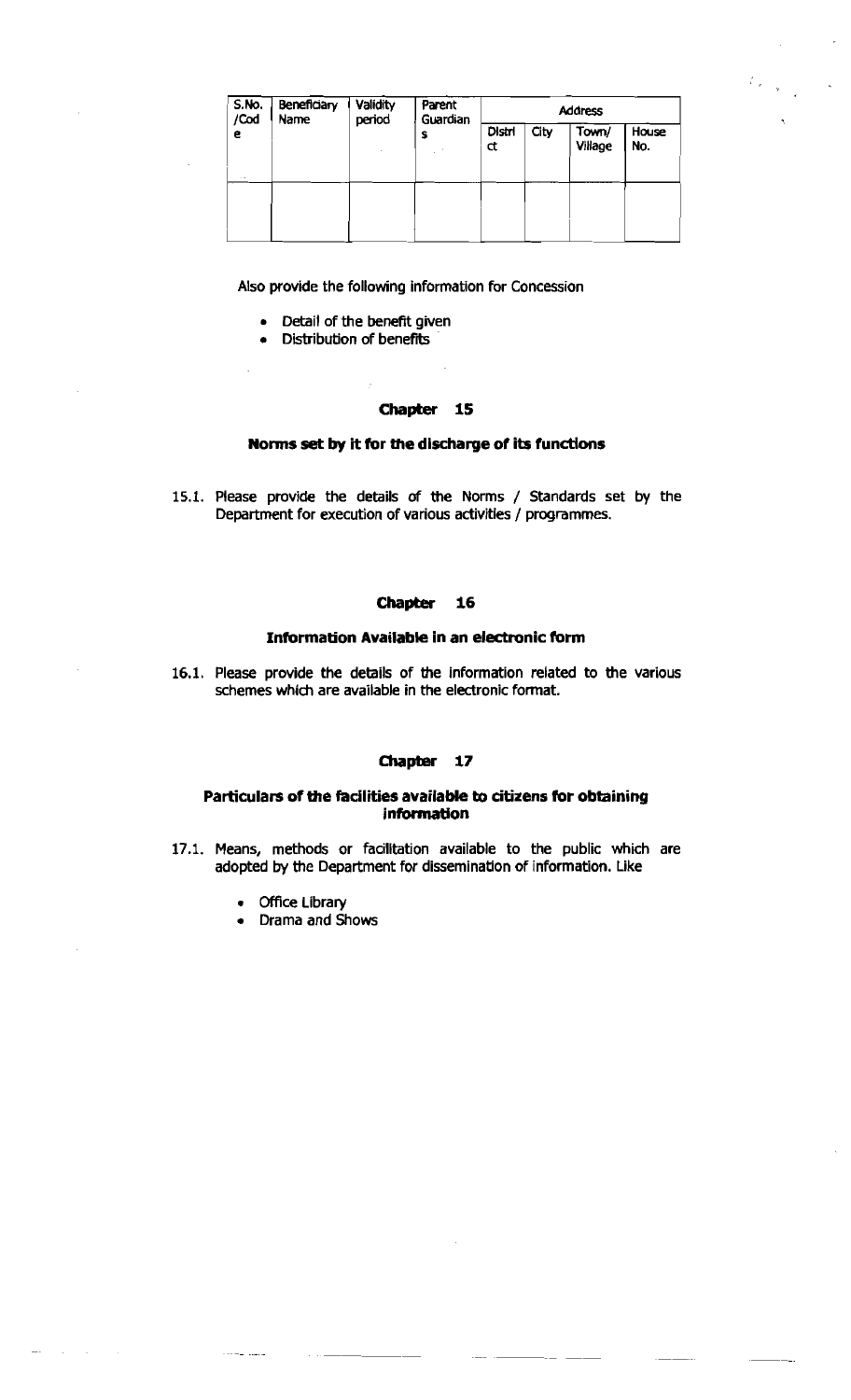| S.No.<br>/Cod<br>e<br>$\sim$ 50 $\,$ | Beneficiary<br>Name | Validity<br>period | Parent<br>Guardian<br>s | <b>Address</b> |      |                  |              |
|--------------------------------------|---------------------|--------------------|-------------------------|----------------|------|------------------|--------------|
|                                      |                     |                    |                         | Distri<br>ď    | City | Town/<br>Village | House<br>No. |
|                                      |                     |                    |                         |                |      |                  |              |

Also provide the following information for Concession

- Detail of the benefit given
- Distribution of benefits

#### **Chapter 15**

#### **Norms set by it for the discharge of its functions**

15.1. Please provide the details of the Norms / Standards set by the Department for execution of various activities / programmes.

#### **Chapter 16**

#### **Information Available in an electronic form**

16.1. Please provide the details of the information related to the various schemes which are available in the electronic format.

#### Chapter 17

#### **Particulars of the facilities available to citizens for obtaining information**

- 17.1. Means, methods or facilitation available to the public which are adopted by the Department for dissemination of information. Like
	- Office Library
	- Drama and Shows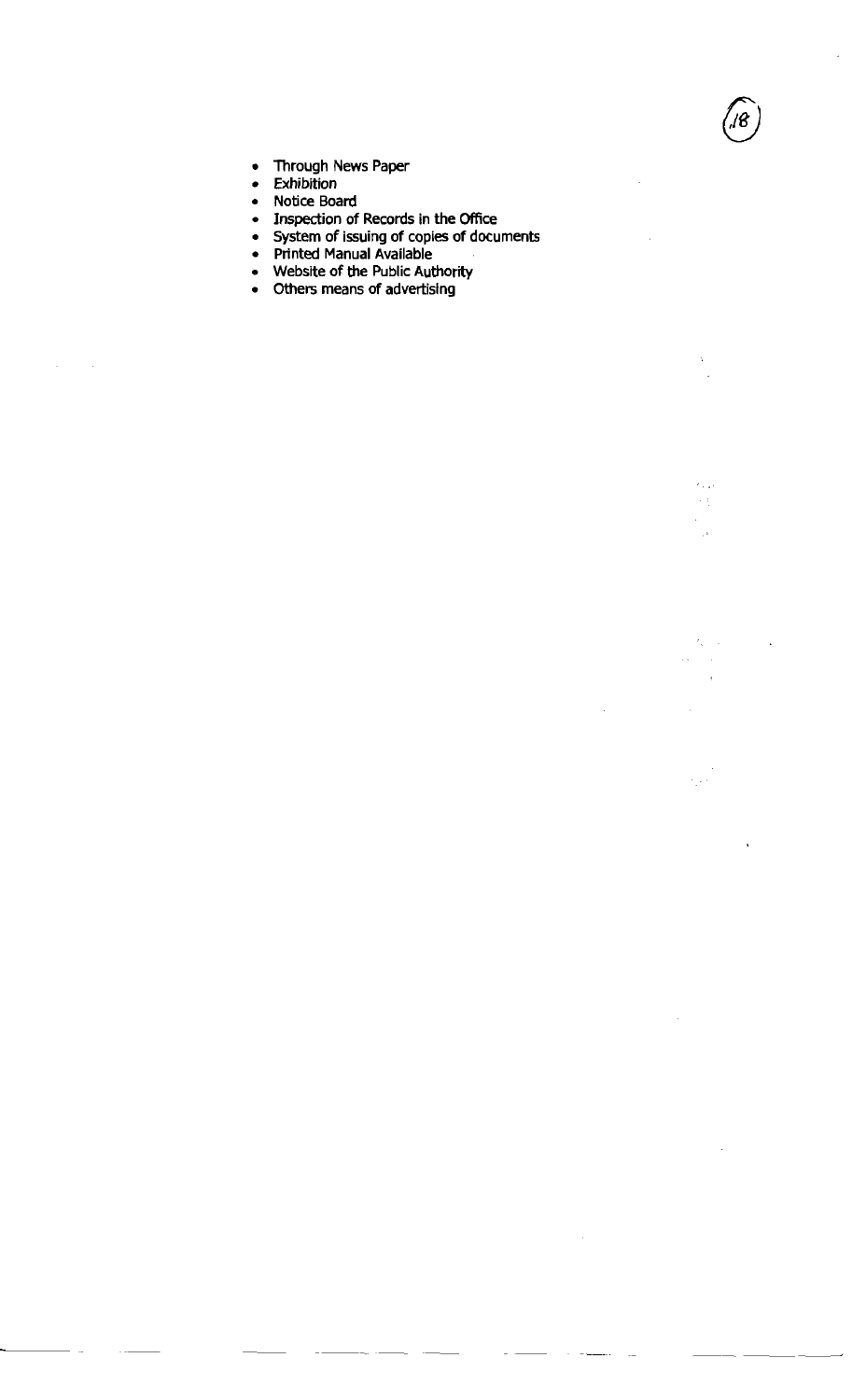- $\bullet$ **Through News Paper**
- $\bullet$ **Exhibition**

 $\sim$   $\sim$ 

 $\sim$ 

- **Notice Board**   $\bullet$
- **Inspection of Records in the Office**   $\bullet$
- **System of issuing of copies of documents**

 $\bar{z}$ 

 $\mathbf{r}$ 

 $\epsilon_{\rm{max}}$  $\mathcal{L}(\mathcal{C})$  $\bar{1}$  $\bar{\beta}$ 

 $\mathcal{E}_k = \mathcal{E}$  $\bar{z}$ 

é,

- **Printed Manual Available**
- **Website of the Public Authority**
- **Others means of advertising**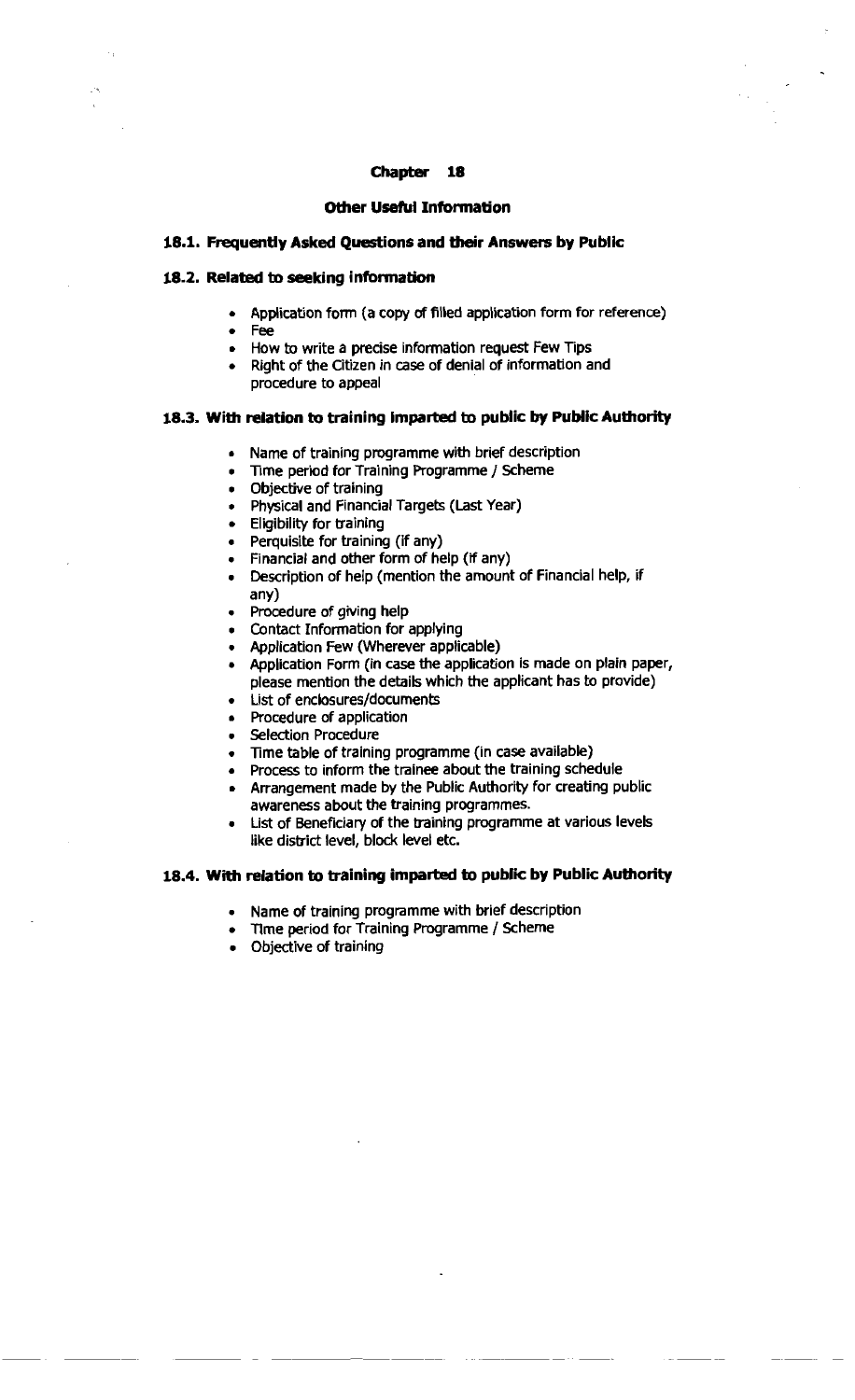#### **Other Useful Information**

#### **18.1. Frequently Asked Questions and** their **Answers by Publlc**

#### **18.2.** Related **to seeking information**

- Application form (a copy of filled application form for reference)
- Fee
- How to write a precise information request Few Tips
- Right of the Citizen in case of denial of information and procedure to appeal

## **18.3. With relation to training imparted to public by Public Authority**

- **a** Name of training programme with brief description
- Time period for Training Programme / Scheme
- Objective of training
- Physical and Financial Targets (Last Year)
- Eligibility for training
- Perquisite for training (if any)
- Financial and other form of help (if any)
- . Description of help (mention the amount of Financial help, if any)
- Procedure of giving help
- Contact Information for applying
- Application Few (Wherever applicable)
- Application Form (in case the application is made on plain paper, please mention the details which the applicant has to provide)
- List of enclosures/documents
- Procedure of application
- **Selection Procedure**
- Time table of training programme (in case available)
- Process to inform the trainee about the training schedule
- Arrangement made by the Public Authority for creating public awareness about the training programmes.
- List of Beneficiary of the training programme at various levels like district level, block level etc.

# 18.4. With relation to training imparted to public by Public Authority

- Name of training programme with brief description
- Tlme period for Training Programme / Scheme
- Objective of training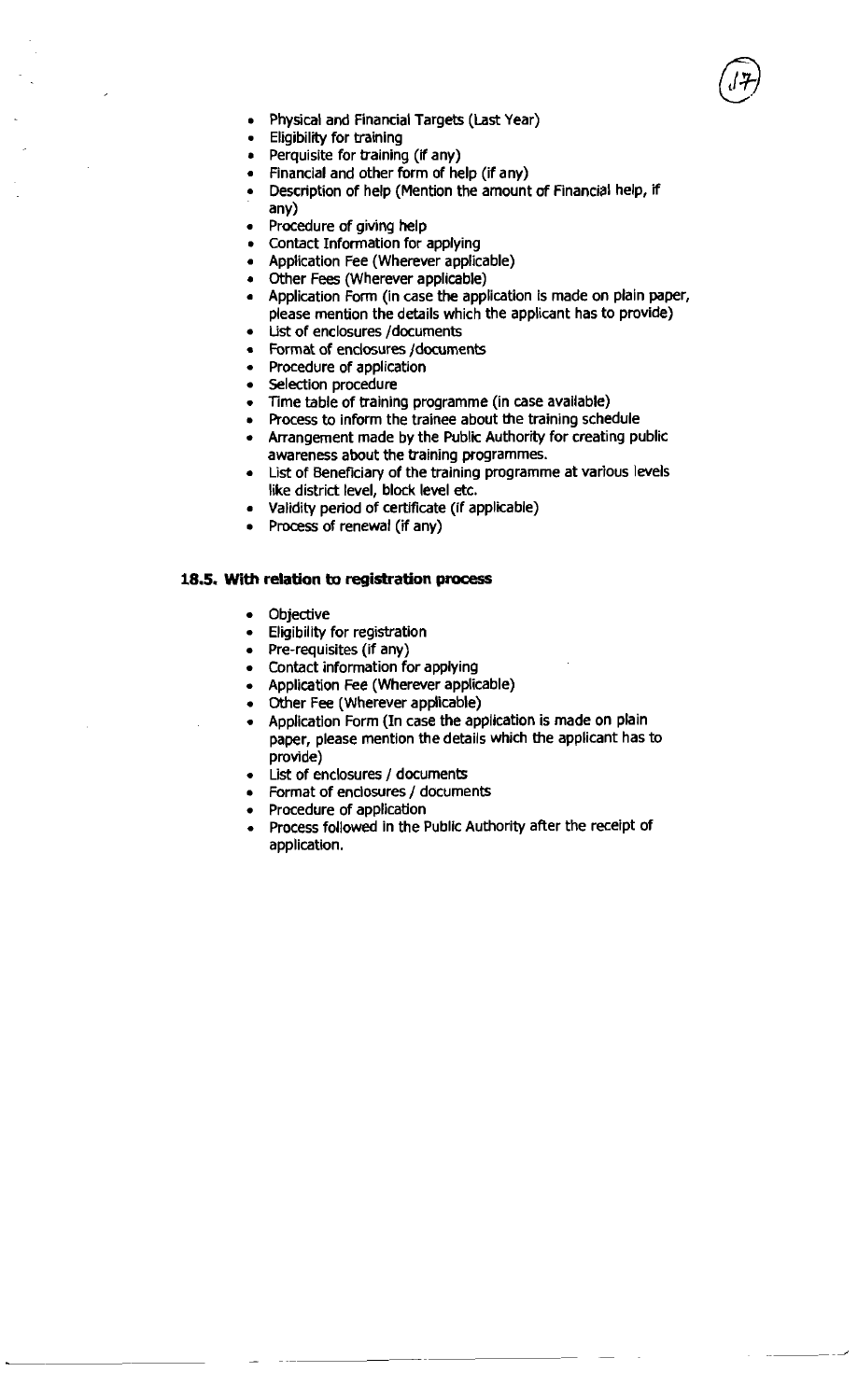

- Physical and Financial Targets (Last Year)
- Eligibility for training
- Perquisite for training (if any)
- Financial and other form of help (if any)
- Description of help (Mention the amount of Financial help, if any)
- Procedure of giving help
- Contact Information for applying
- Application Fee (Wherever applicable)
- Other Fees (Wherever applicable)
- Application **Form** (in case the application is made on plain paper, please mention the details which the applicant has to provide)
- List of enclosures /documents
- Format of enclosures /documents
- Procedure of application
- Selection procedure
- Time table of training programme (in case available)
- Process to inform the trainee about the training schedule
- Arrangement made by the Public Authority for creating public awareness about the training programmes.
- List of Beneficiary of the training programme at various levels like district level, block level etc.
- Validity period of certificate (if applicable)
- Process of renewal (if any)

#### **18.5. With relation to registration** process

- **Objective**  $\bullet$
- Eligibility for registration
- Pre-requisites (if any)
- Contact information for applying
- Application Fee (Wherever applicable)
- Other Fee (Wherever applicable)
- Application Form (In case the application is made on plain paper, please mention the details which the applicant has to provide)
- List of enclosures / documents
- Format of enclosures / documents
- Procedure of application
- Process followed in the Public Authority after the receipt of application.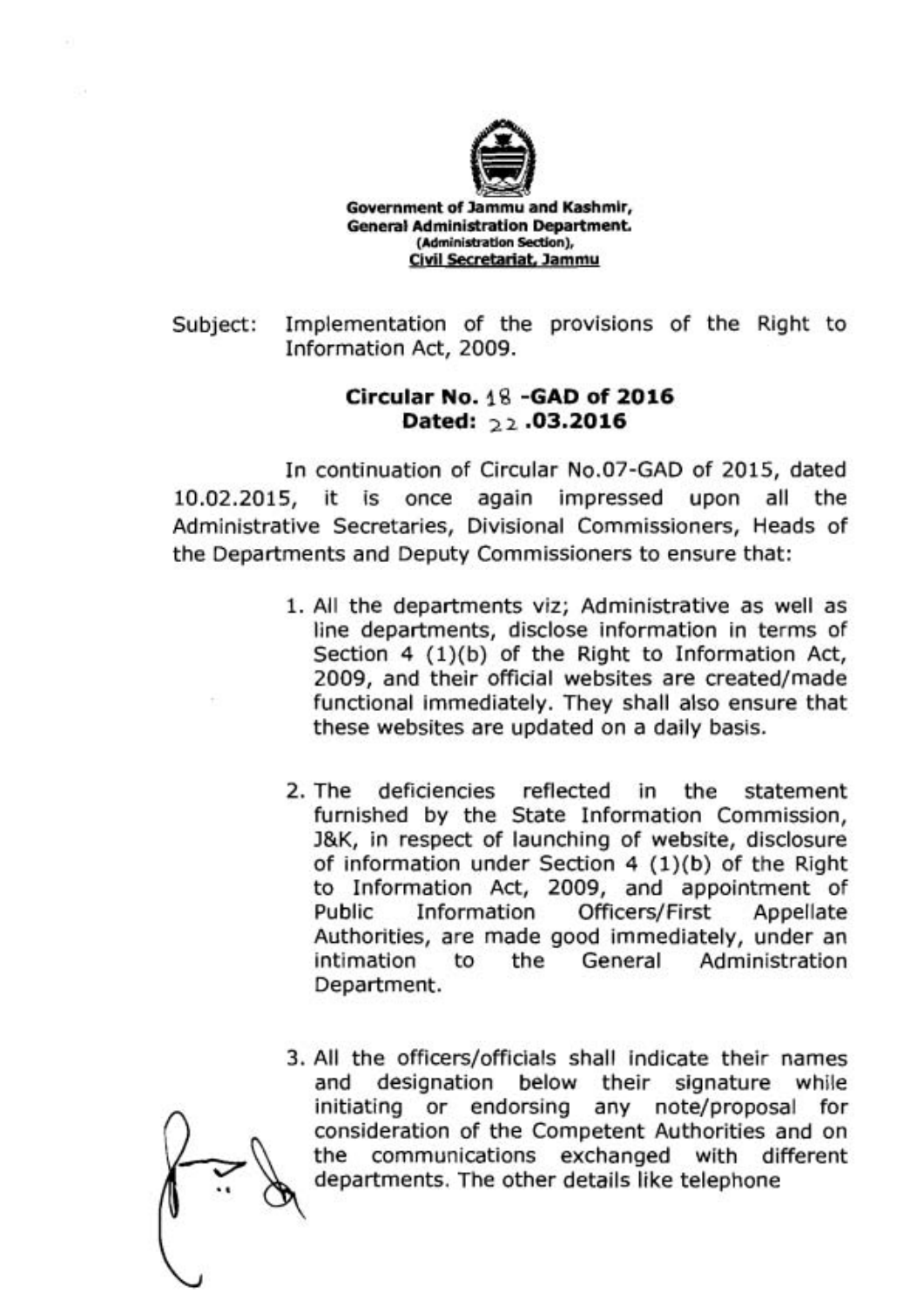

**Government of Jammu and Kashmir, General Administration Department. (Administration Section), Civil Secretariat, Jammu** 

Subject: Implementation of the provisions of the Right to Information Act, 2009.

# **Circular No. 18 -GAD of 2016 Dated: 22 .03.2016**

In continuation of Circular No.07-GAD of 2015, dated 10.02.2015, it is once again impressed upon all the Administrative Secretaries, Divisional Commissioners, Heads of the Departments and Deputy Commissioners to ensure that:

- 1. All the departments viz; Administrative as well as line departments, disclose information in terms of Section  $4$   $(1)(b)$  of the Right to Information Act, 2009, and their official websites are created/made functional immediately. They shall also ensure that these websites are updated on a daily basis.
- 2. The deficiencies reflected in the statement furnished by the State Information Commission, J&K, in respect of launching of website, disclosure of information under Section  $4(1)(b)$  of the Right to Information Act, 2009, and appointment of Public Information Officers/First Appellate Authorities, are made good immediately, under an intimation to the General Administration Department.
- 3. All the officers/officials shall indicate their names and designation below their signature while initiating or endorsing any note/proposal for consideration of the Competent Authorities and on the communications exchanged with different departments. The other details like telephone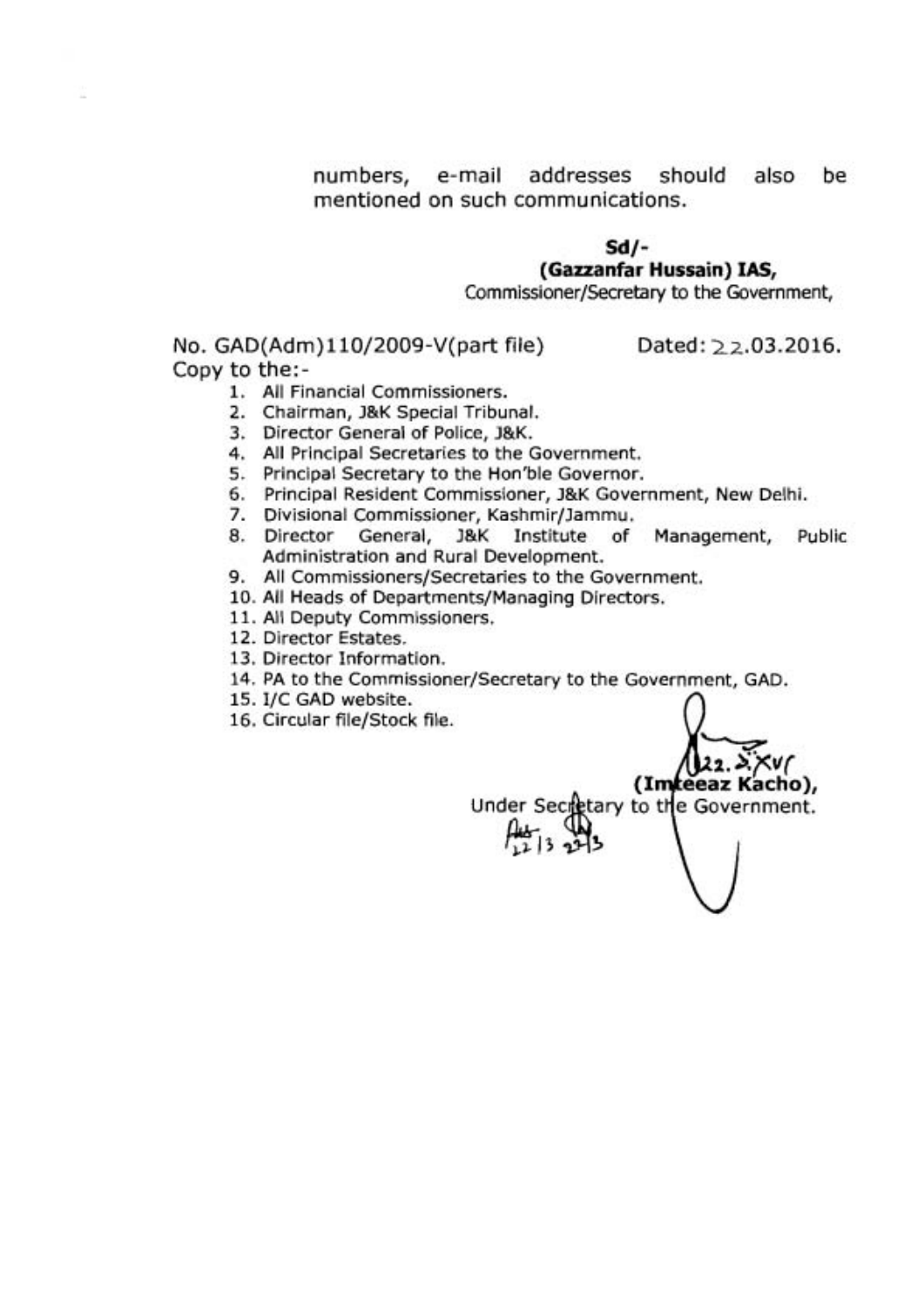numbers, e-mail addresses should also be mentioned on such communications.

# **Sd/- (Gazzanfar Hussain) IAS,**

Commissioner/Secretary to the Government,

No. GAD(Adm)110/2009-V(part file) Dated: 22.03.2016. Copy to the:-

(Imreeaz Kacho),

Under Secretary to the Government.

- 1. All Financial Commissioners.
- 2. Chairman, J&K Special Tribunal.
- 3. Director General of Police, J&K.
- 4. All Principal Secretaries to the Government.
- 5. Principal Secretary to the Hon'ble Governor.
- 6. Principal Resident Commissioner, J&K Government, New Delhi.
- 7. Divisional Commissioner, Kashmir/Jammu.
- 8. Director General, J&K Institute of Management, Public Administration and Rural Development.
- 9. All **Commissioners/Secretaries** to the Government.
- 10. All Heads of Departments/Managing Directors.
- 11. All Deputy Commissioners.
- 12. Director Estates.
- **13.** Director Information.
- 14. PA to the Commissioner/Secretary to the Government, GAD.
- 15. I/C GAD website.
- 16. Circular file/Stock file.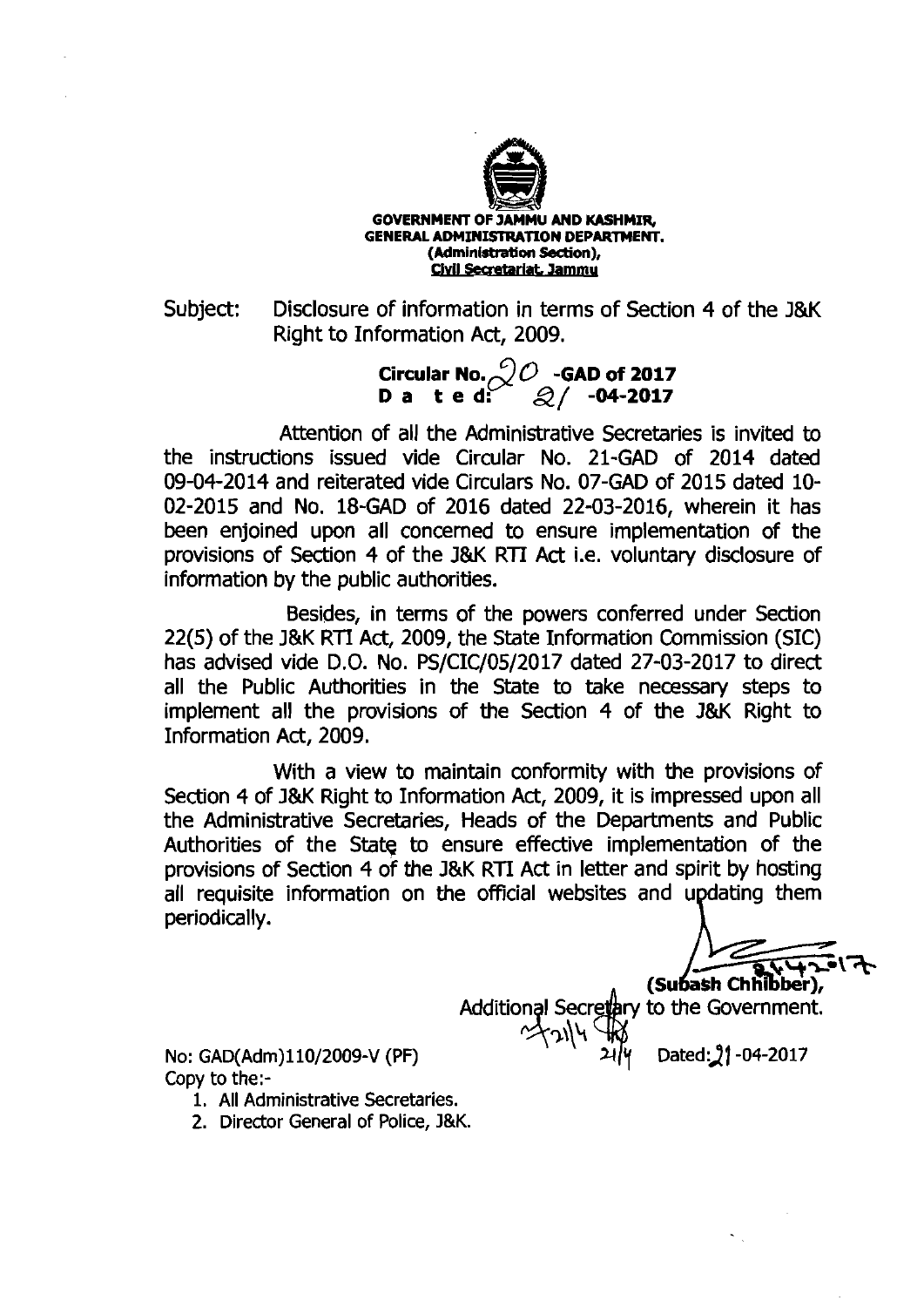

**GOVERNMENT OF JAMMU AND KASHMIR. GENERAL ADMINISTRATION DEPARTMENT.** (Administration Section), Civil Secretariat, Jammu

Subject: Disclosure of information in terms of Section 4 of the **J&K**  Right to Information Act, 2009.

> $\frac{C}{2}$ **Circular No.**  $\frac{O}{2}$   $\frac{O}{2}$  **CAD of 2017 D a t e d:** / **-04-2017**

Attention of all the Administrative Secretaries is invited to the instructions issued vide Circular No. 21-GAD of 2014 dated 09-04-2014 and reiterated vide Circulars No. 07-GAD of 2015 dated 10- 02-2015 and No. 18-GAD of 2016 dated 22-03-2016, wherein it has been enjoined upon all concerned to ensure implementation of the provisions of Section 4 of the **J&K** RTI Act i.e. voluntary disclosure of information by the public authorities.

Besides, in terms of the powers conferred under Section 22(5) of the **J&K** RTI Act, 2009, the State Information Commission (SIC) has advised vide D.O. No. PS/CIC/05/2017 dated 27-03-2017 to direct all the Public Authorities in the State to take necessary steps to implement all the provisions of the Section 4 of the **J&K** Right to Information Act, 2009.

With a view to maintain conformity with the provisions of Section 4 of **J&K** Right to Information Act, 2009, it is impressed upon all the Administrative Secretaries, Heads of the Departments and Public Authorities of the State to ensure effective implementation of the provisions of Section 4 o'f the **J&K** RTI Act in letter and spirit by hosting all requisite information on the official websites and updating them periodically.

(Subash Chhibber),

Additional Secretary to the Government.

No: GAD(Adm)110/2009-V (PF)  $\frac{1}{2}$   $\frac{1}{4}$  Dated: 21-04-2017 Copy to the:-

- 1. All Administrative Secretaries.
- 2. Director General of Police, **J&K.**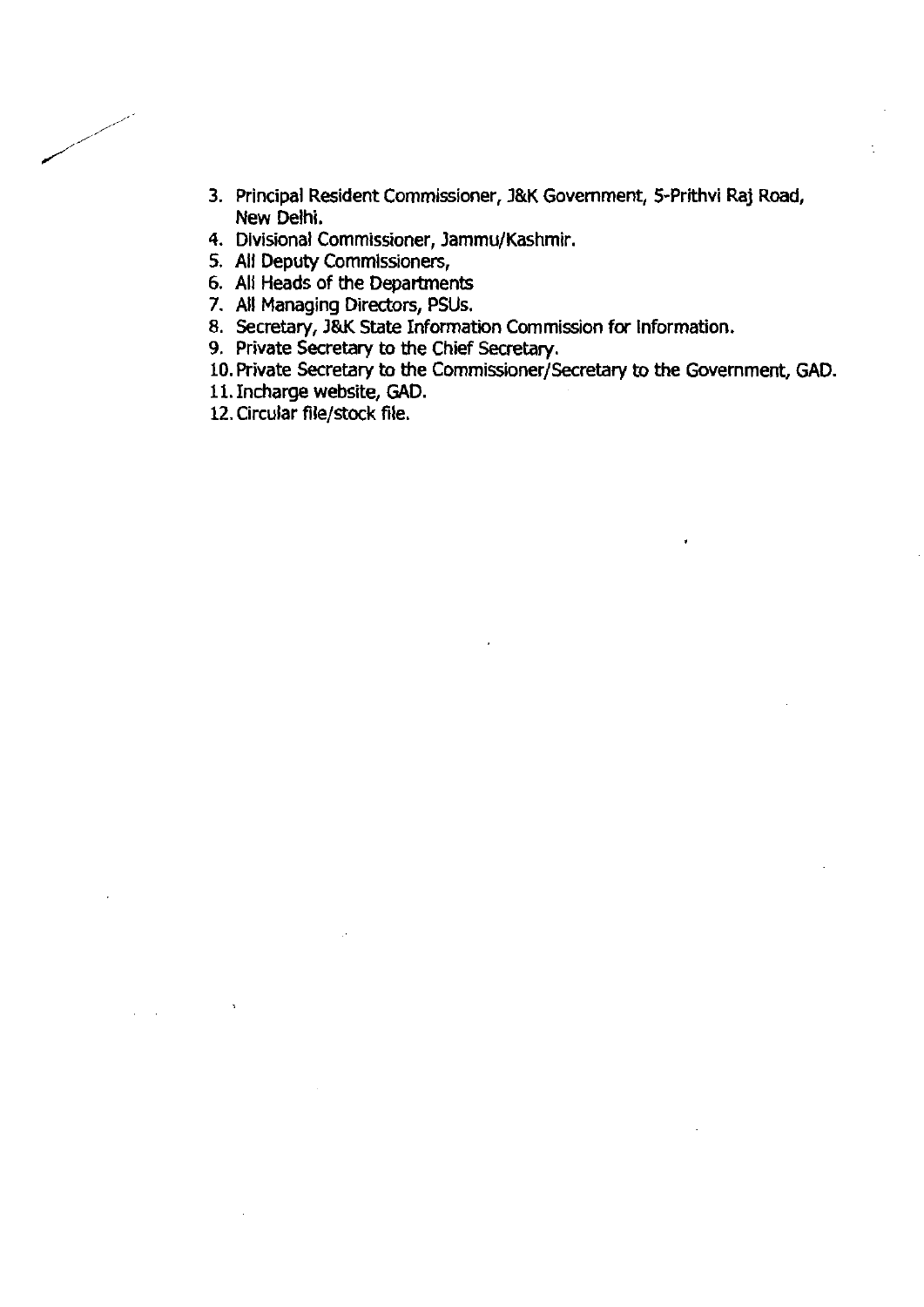- **3. mincipal Resident Commissioner, J&K Government, 5-Prithvi Raj Road, New Delhi.**
- **4. Divisional Commissioner, Jammu/Kashmir.**
- **5. All Deputy Commissioners,**
- **6. All Heads of the Departments**
- **7. All Managing Directors, PSUs.**
- **8. Secretary, J&K State Information Commission for information.**
- **9. Private Secretary to the Chief Secretary.**
- **10. Private Secretary to the Commissioner/Secretary to the Government, GAD.**
- **11. Incharge website, GAD.**
- 12. Circular file/stock file.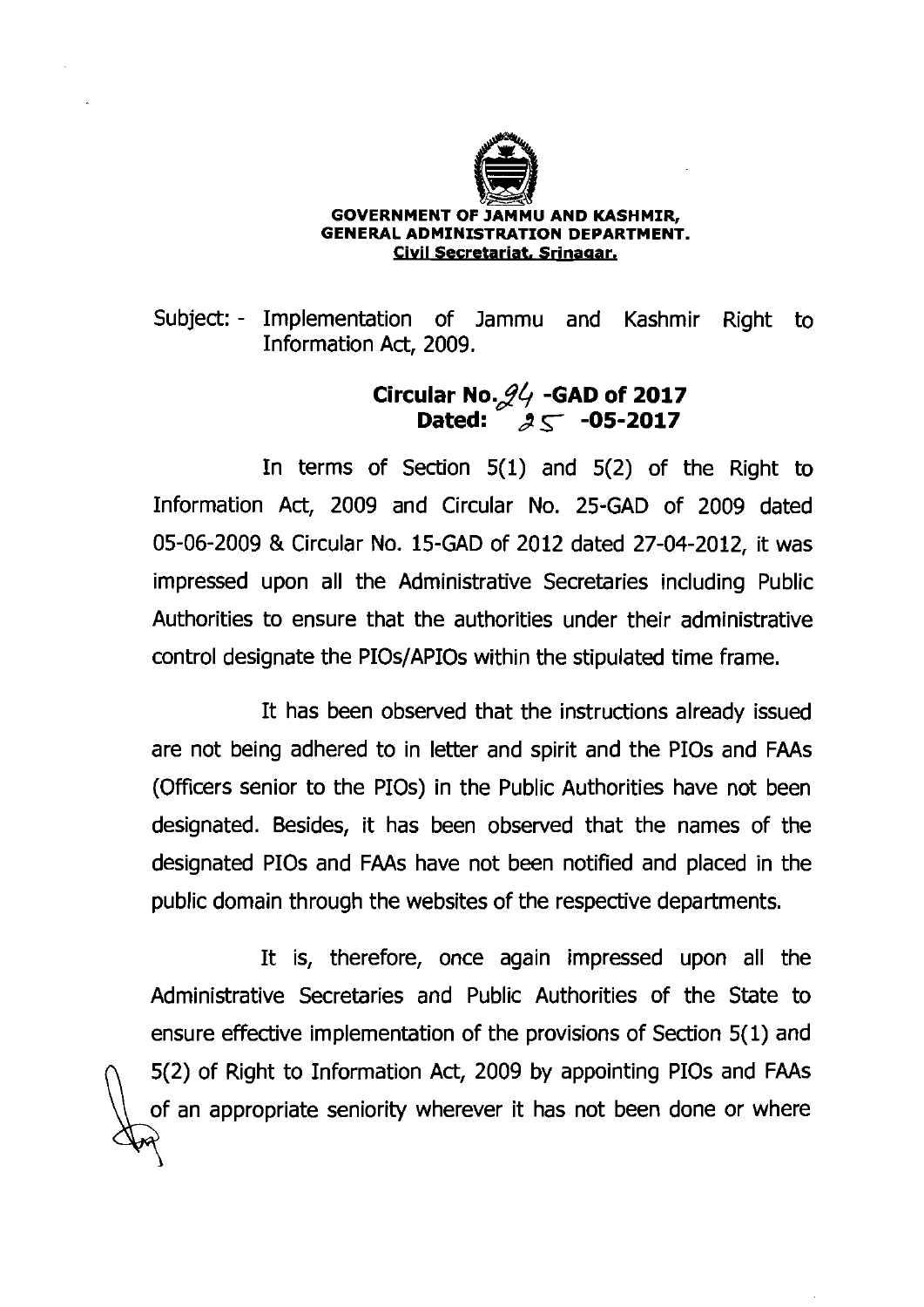

#### **GOVERNMENT OF JAMMU AND KASHMIR, GENERAL ADMINISTRATION DEPARTMENT.** Civil Secretariat, Srinagar.

Subject:- Implementation of Jammu and Kashmir Right to Information Act, 2009.

# **Circular ~0.24 -GAD of 2017 Dated: 35 -05-2017**

In terms of Section 5(1) and 5(2) of the Right to Information Act, 2009 and Circular No. 25-GAD of 2009 dated 05-06-2009 & Circular No. 15-GAD of 2012 dated 27-04-2012, it was impressed upon all the Administrative Secretaries including Public Authorities to ensure that the authorities under their administrative control designate the PIOs/APIOs within the stipulated time frame.

It has been observed that the instructions already issued are not being adhered to in letter and spirit and the PIOs and FAAs (Officers senior to the PIOs) in the Public Authorities have not been designated. Besides, it has been observed that the names of the designated PIOs and FAAs have not been notified and placed in the public domain through the websites of the respective departments.

It is, therefore, once again impressed upon all the Administrative Secretaries and Public Authorities of the State to ensure effective implementation of the provisions of Section 5(1) and 5(2) of Right to Information Act, 2009 by appointing PIOs and FAAs of an appropriate seniority wherever it has not been done or where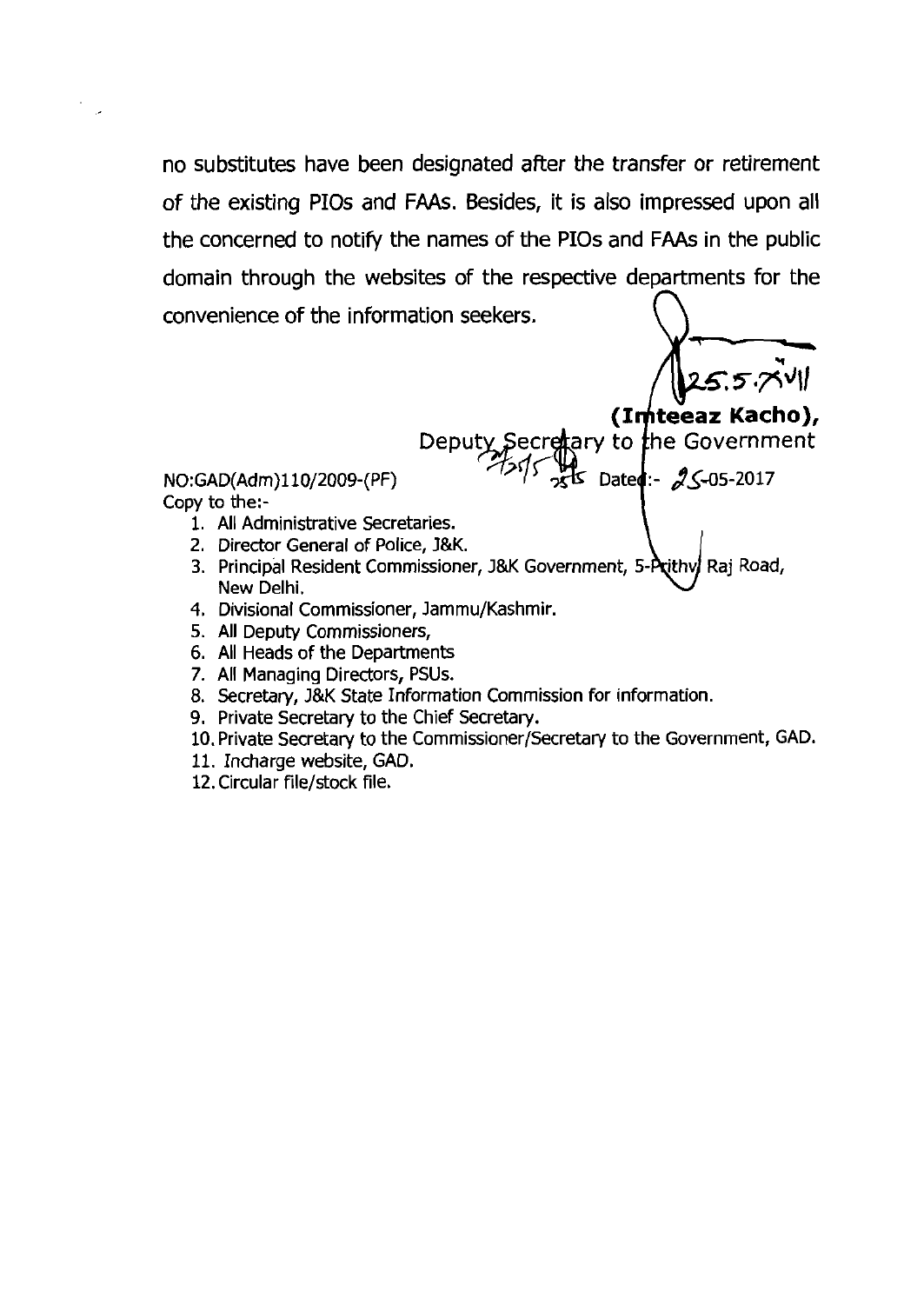no substitutes have been designated after the transfer or retirement of the existing PIOs and **FAAs.** Besides, it is also impressed upon all the concerned to notify the names of the PIOs and **FAAs** in the public domain through the websites of the respective departments for the no substitutes have been designated after the transfer or retirement<br>of the existing PIOs and FAAs. Besides, it is also impressed upon all<br>the concerned to notify the names of the PIOs and FAAs in the public<br>domain throug

 $\overline{\mathcal{L}}$  Dates:-  $2\mathcal{L}$ -05-2017

NO:GAD(Adm)l10/2009-(PF)

Copy to the:-

- 1. All Administrative Secretaries.
- 2. Director General of Police, **J&K.**
- 3. Principal Resident Commissioner, J&K Government, 5-Prithv Raj Road, New Delhi.
- 4. Divisional Commissioner, Jamrnu/Kashmir.
- 5. All Deputy Commissioners,
- 6. All Heads of the Departments
- 7. All Managing Directors, PSUs.
- 8. Secretary, J&K State Information Commission for information.
- 9. Private Secretary to the Chief Secretary.
- **10.** Private Secretary to the Comrnissioner/Secretary to the Government, GAD.
- 11. Incharge website, GAD.
- 12.Circular file/stock file.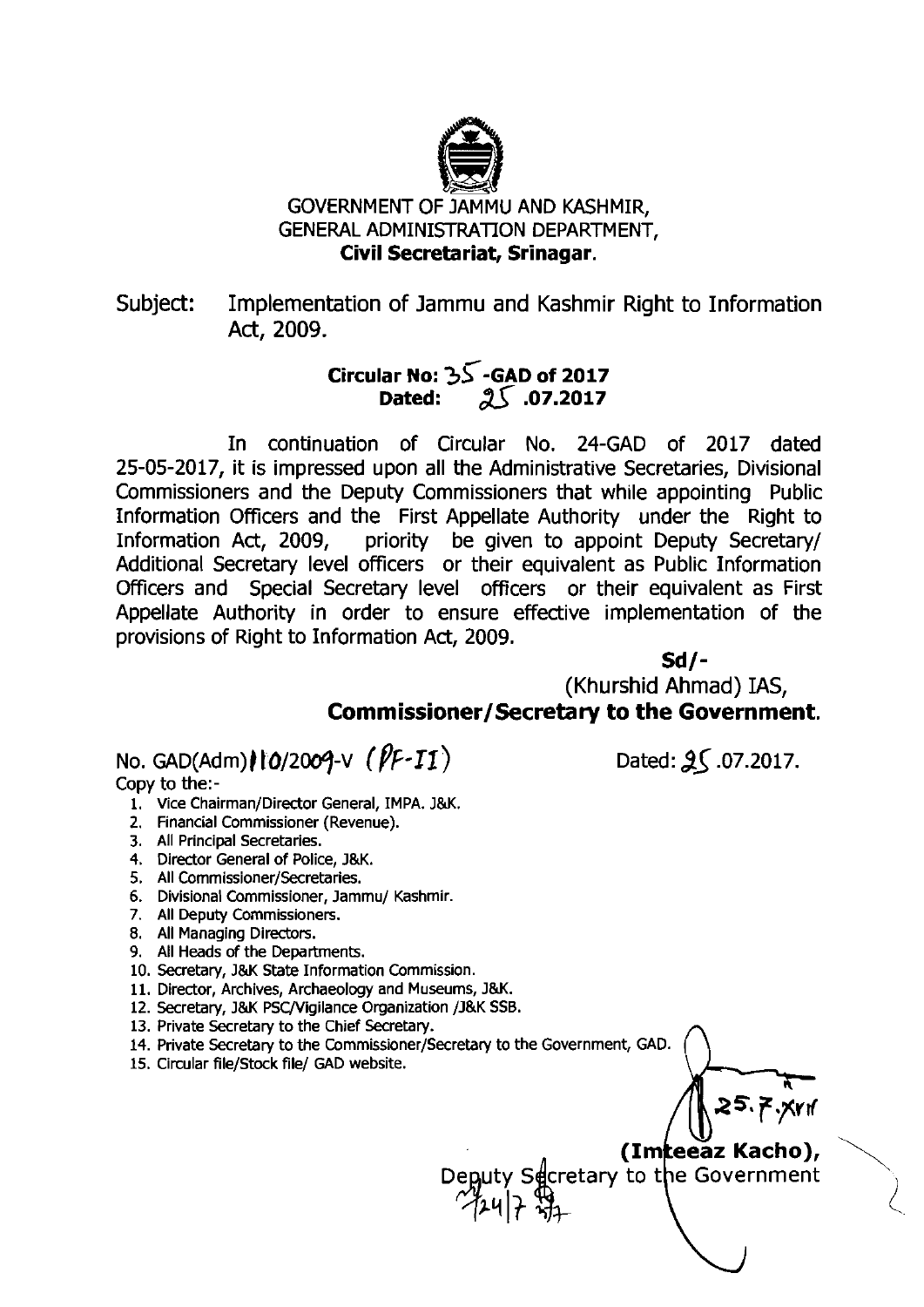

# GOVERNMENT OF JAMMU AND KASHMIR, GENERAL ADMINISTRATION DEPARTMENT, **Civil Secretariat, Srinagar.**

Subject: Implementation of Jammu and Kashmir Right to Information Act, 2009.

# **Circular No: 35-GAD of 2017 Dated: .07.2017**

In continuation of Circular No. 24-GAD of 2017 dated 25-05-2017, it is impressed upon all the Administrative Secretaries, Divisional Commissioners and the Deputy Commissioners that while appointing Public Information Officers and the First Appellate Authority under the Right to Information Act, 2009, priority be given to appoint Deputy Secretary/ Additional Secretary level officers or their equivalent as Public Information Officers and Special Secretary level officers or their equivalent as First Appellate Authority in order to ensure effective implementation of the provisions of Right to Information Act, 2009.

**Sd/-**  (Khurshid Ahmad) IAS, **Commissioner/Secretary to the Government.** 

No. GAD(Adm) *10/2009-v (PF-I1)* Dated: 25.07.2017.

Copy to the:-

- 1. Vice Chairman/Director General, IMPA. **J&K.**
- **2.** Financial Commissioner (Revenue).
- **3.** All Principal Secretaries.
- 4. Director General of Police, J&K.
- 5. All **Commissioner/Secretaries.**
- 6. Divisional Commissioner, Jammu/ Kashmir.
- 7. All Deputy Commissioners.
- 8. All Managing Directors.
- 9. All Heads of the Departments.
- **10.** Secretary, **J&K** State Information Commission.
- **11.** Director, Archives, Archaeology and Museums, **J&K.**
- 12. Secretary, J&K PSC/Vigilance Organization /J&K SSB.
- **13.** Private Secretary to the Chief Secretary.
- 14. Private Secretary to the Commissioner/Secretary to the Government, GAD.
- 15. Circular file/Stock file/ GAD website.

(Imteeaz Kacho),

Deputy Secretary to the Government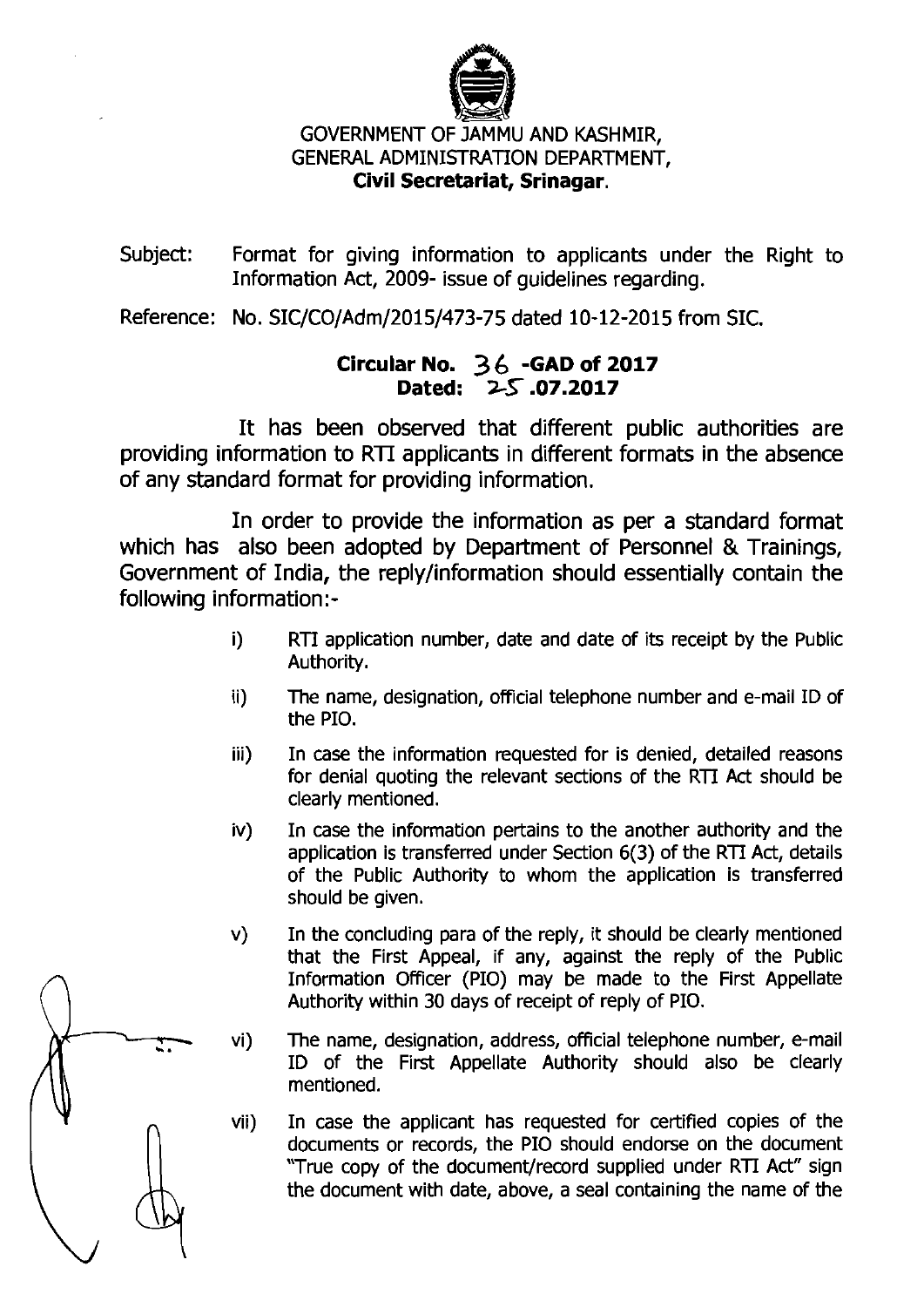

# GOVERNMENT OF JAMMU AND KASHMIR, GENERAL ADMINISTRATION DEPARTMENT, Civil Secretariat, Srinagar.

Subject: Format for giving information to applicants under the Right to Information Act, 2009- issue of guidelines regarding.

Reference: No. SIC/CO/Adm/2015/473-75 dated 10-12-2015 from SIC.

# Circular No. **3** *6* -GAD of **<sup>2017</sup>** Dated: **2F .07.2017**

It has been observed that different public authorities are providing information to  $RTI$  applicants in different formats in the absence of any standard format for providing information.

In order to provide the information as per a standard format which has also been adopted by Department of Personnel & Trainings, Government of India, the replylinformation should essentially contain the following information:-

- i) RTI application number, date and date of its receipt by the Public Authority.
- ii) The name, designation, official telephone number and e-mail ID of the PIO.
- iii) In **case** the information requested for is denied, detailed reasons for denial quoting the relevant sections of the RTI Act should be clearly mentioned.
- iv) In case the information pertains to the another authority and the application is transferred under Section 6(3) of the RTI Act, details of the Public Authority to whom the application is transferred should be given. Charly mentioned.<br>
iv) In case the information pertains to the another authority and the<br>
application is transferred under Section 6(3) of the RTI Act, details<br>
of the Public Authority to whom the application is transferre
	- v) In the concluding para of the reply, it should be clearly mentioned that the First Appeal, if any, against the reply of the Public Information Officer (PIO) may be made to the First Appellate
	- ID of the First Appellate Authority should also be clearly mentioned.
	- vii) In case the applicant has requested for certified copies of the documents or records, the PIO should endorse on the document "True copy of the document/record supplied under RTI Act" sign the document with date, above documents or records, the PI0 should endorse on the document "True copy of the document/record supplied under RTI Act" sign the document with date, above, a seal containing the name of the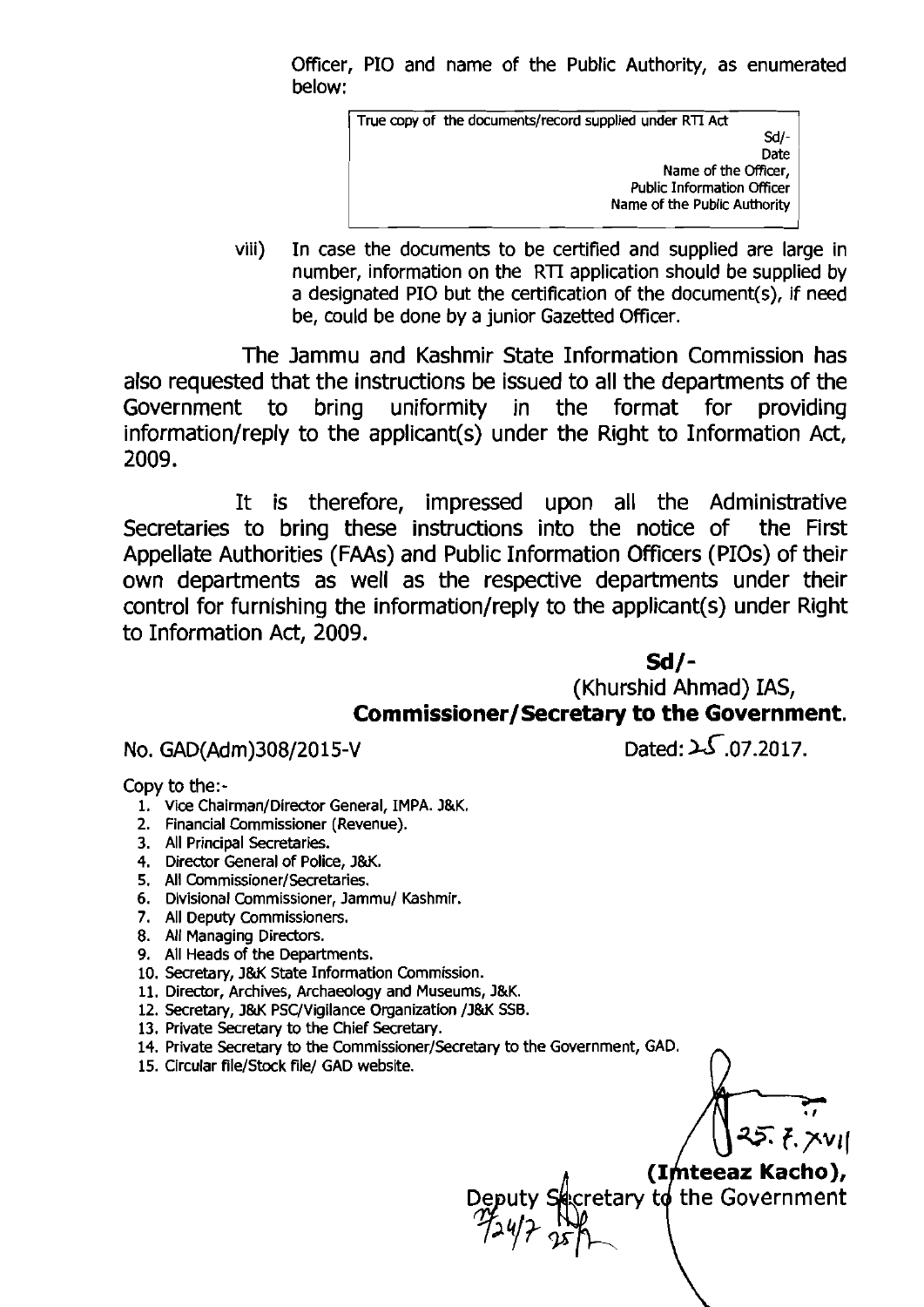Officer, PI0 and name of the Public Authority, as enumerated below:

> True copy of the documents/record supplied under RTI Act Sd/-<br>Date Name of the Officer,<br>Public Information Officer Name of the Public Authority

viii) In case the documents to be certified and supplied are large in number, information on the **RTI** application should be supplied by a designated PI0 but the certification of the document(s), if need be, could be done by a junior Gazetted Officer.

The Jammu and Kashmir State Information Commission has also requested that the instructions be issued to all the departments of the Government to bring uniformity in the format for providing information/reply to the applicant(s) under the Right to Information Act, 2009.

It is therefore, impressed upon all the Administrative Secretaries to bring these instructions into the notice of the First Appellate Authorities (FAAs) and Public Information Officers (PIOs) of their own departments as well as the respective departments under their control for furnishing the information/reply to the applicant(s) under Right to Information Act, 2009.

**ad/-**<br>id Abmod (Khurshid Ahmad) IAS, **Commissioner/Secretary to the Government.** 

No. GAD(Adm)308/2015-V Dated:  $\sqrt{5.07.2017}$ .

Copy to the:-

- 1. Vice Chairman/Director General, IMPA. J&K.
- 2. Financial Commissioner (Revenue).
- 3. All Principal Secretaries.
- 4. Director General of Police, J&K.
- 5. All Commissioner/Secretaries.
- 6. Divisional Commissioner, Jammu/ Kashmir.
- 7. All Deputy Commissioners.
- 8. All Managing Directors.
- 9. All Heads of the Departments.
- 10. Secretary, J&K State Information Commission.
- 11. Director, Archives, Archaeology and Museums, J&K.
- 12. Secretary, J&K PSC/Vigilance Organization /J&K SSB.
- 13. Private Secretary to the Chief Secretary.
- 14. Private Secretary to the Commissioner/Secretary to the Government, GAD. 15. Circular file/Stock **file/** GAD website. n
- 

**(Imteeaz Kacho),<br>cretary to the Government**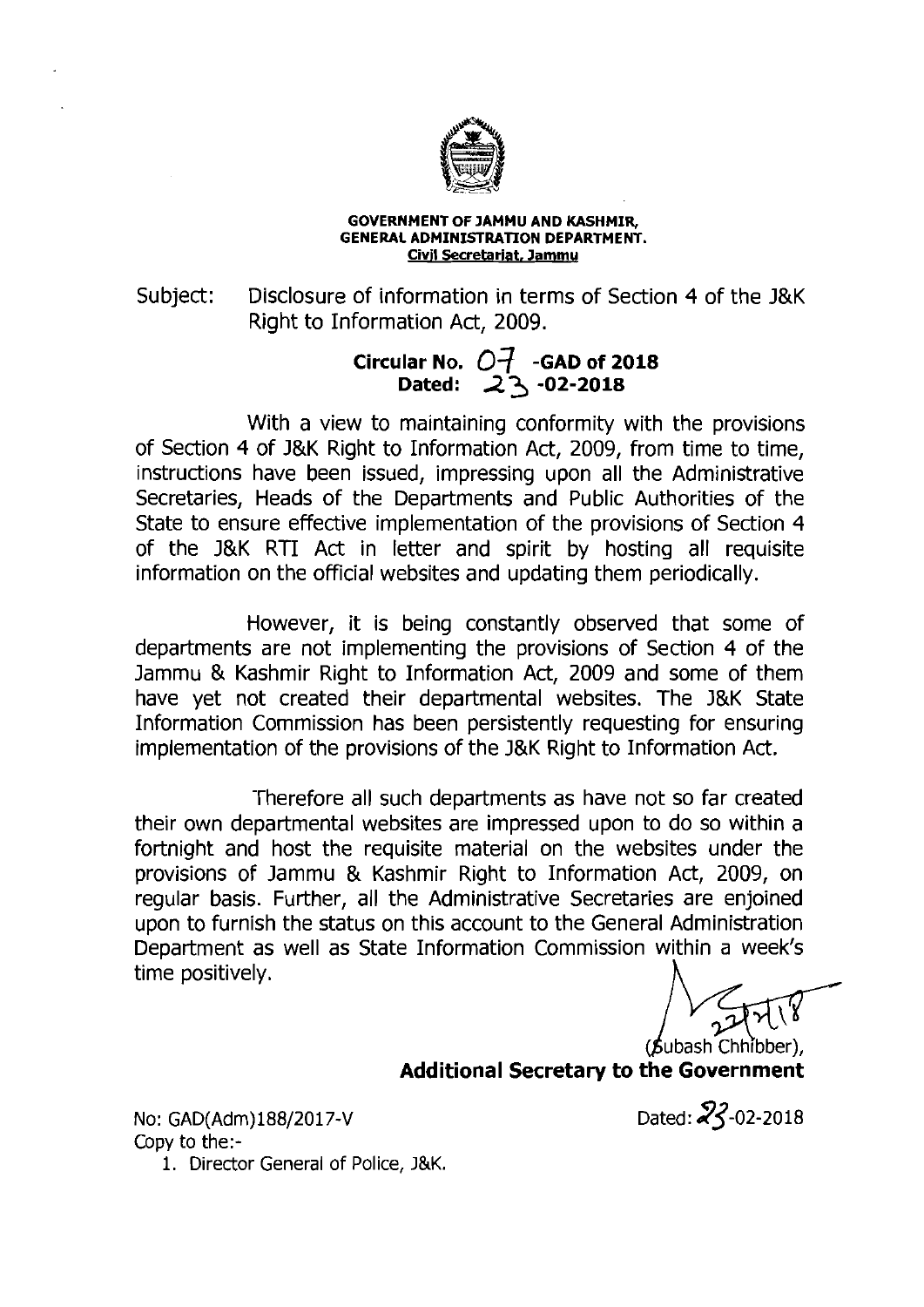

#### **GOVERNMENT OF JAMMU AND KASHMIR, GENERAL ADMINISTRATION DEPARTMENT. Civil Secretariat, Jammy**

Subject: Disclosure of information in terms of Section 4 of the J&K Right to Information Act, 2009.

> **Circular No.**  $O_{\tau}$  **-GAD of 2018 Dated: 23 -02-2018**

With a view to maintaining conformity with the provisions of Section 4 of J&K Right to Information Act, 2009, from time to time, instructions have been issued, impressing upon all the Administrative Secretaries, Heads of the Departments and Public Authorities of the State to ensure effective implementation of the provisions of Section 4 of the J&K RTI Act in letter and spirit by hosting all requisite information on the official websites and updating them periodically.

However, it is being constantly observed that some of departments are not implementing the provisions of Section 4 of the Jammu & Kashmir Right to Information Act, 2009 and some of them have yet not created their departmental websites. The J&K State Information Commission has been persistently requesting for ensuring implementation of the provisions of the J&K Right to Information Act.

Therefore all such departments as have not so far created their own departmental websites are impressed upon to do so within a fortnight and host the requisite material on the websites under the provisions of Jammu & Kashmir Right to Information Act, 2009, on regular basis. Further, all the Administrative Secretaries are enjoined upon to furnish the status on this account to the General Administration Department as well as State Information Commission within a week's The positively, an the Administrative Secretaries are enjoined<br>upon to furnish the status on this account to the General Administration<br>Department as well as State Information Commission within a week's<br>time positively.<br>**A** 

**Additional Secretary to the Government** 

No: GAD(Adm)188/2017-V Copy to the:-

Dated:  $23 - 02 - 2018$ 

1. Director General of Police, **J&K.**